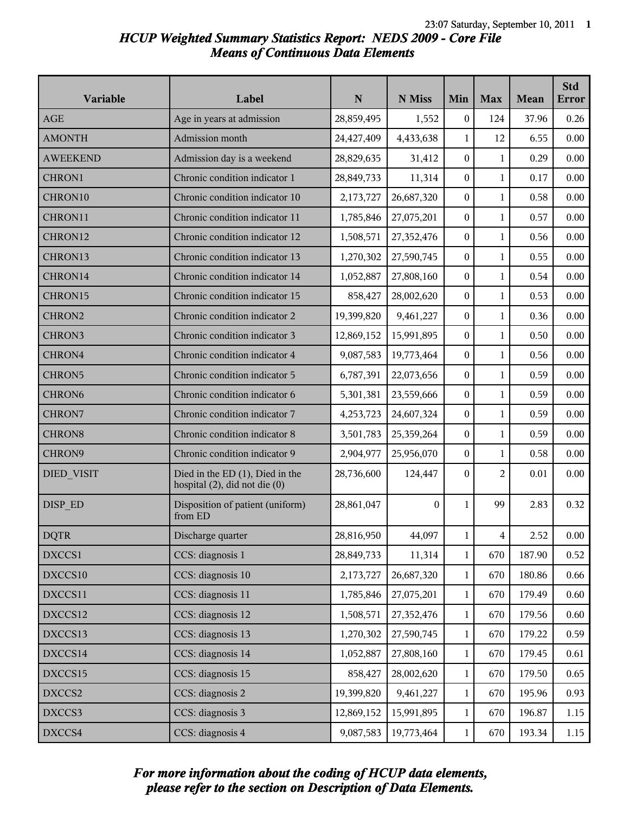# *HCUP Weighted Summary Statistics Report: NEDS 2009 - Core File Means of Continuous Data Elements*

| Variable           | Label                                                                    | $\mathbf N$ | N Miss     | Min              | <b>Max</b>     | Mean   | <b>Std</b><br>Error |
|--------------------|--------------------------------------------------------------------------|-------------|------------|------------------|----------------|--------|---------------------|
| <b>AGE</b>         | Age in years at admission                                                | 28,859,495  | 1,552      | $\boldsymbol{0}$ | 124            | 37.96  | 0.26                |
| <b>AMONTH</b>      | Admission month                                                          | 24,427,409  | 4,433,638  | 1                | 12             | 6.55   | 0.00                |
| <b>AWEEKEND</b>    | Admission day is a weekend                                               | 28,829,635  | 31,412     | $\overline{0}$   | 1              | 0.29   | 0.00                |
| CHRON1             | Chronic condition indicator 1                                            | 28,849,733  | 11,314     | 0                | $\mathbf{1}$   | 0.17   | 0.00                |
| CHRON10            | Chronic condition indicator 10                                           | 2,173,727   | 26,687,320 | 0                | $\mathbf{1}$   | 0.58   | 0.00                |
| CHRON11            | Chronic condition indicator 11                                           | 1,785,846   | 27,075,201 | $\boldsymbol{0}$ | $\mathbf{1}$   | 0.57   | 0.00                |
| CHRON12            | Chronic condition indicator 12                                           | 1,508,571   | 27,352,476 | 0                | 1              | 0.56   | 0.00                |
| CHRON13            | Chronic condition indicator 13                                           | 1,270,302   | 27,590,745 | $\overline{0}$   | 1              | 0.55   | 0.00                |
| CHRON14            | Chronic condition indicator 14                                           | 1,052,887   | 27,808,160 | 0                | $\mathbf{1}$   | 0.54   | 0.00                |
| CHRON15            | Chronic condition indicator 15                                           | 858,427     | 28,002,620 | $\overline{0}$   | $\mathbf{1}$   | 0.53   | 0.00                |
| CHRON2             | Chronic condition indicator 2                                            | 19,399,820  | 9,461,227  | $\boldsymbol{0}$ | $\mathbf{1}$   | 0.36   | 0.00                |
| CHRON3             | Chronic condition indicator 3                                            | 12,869,152  | 15,991,895 | 0                | 1              | 0.50   | 0.00                |
| CHRON4             | Chronic condition indicator 4                                            | 9,087,583   | 19,773,464 | $\overline{0}$   | 1              | 0.56   | 0.00                |
| CHRON5             | Chronic condition indicator 5                                            | 6,787,391   | 22,073,656 | 0                | $\mathbf{1}$   | 0.59   | 0.00                |
| CHRON <sub>6</sub> | Chronic condition indicator 6                                            | 5,301,381   | 23,559,666 | $\overline{0}$   | $\mathbf{1}$   | 0.59   | 0.00                |
| CHRON7             | Chronic condition indicator 7                                            | 4,253,723   | 24,607,324 | $\boldsymbol{0}$ | $\mathbf{1}$   | 0.59   | 0.00                |
| <b>CHRON8</b>      | Chronic condition indicator 8                                            | 3,501,783   | 25,359,264 | 0                | 1              | 0.59   | 0.00                |
| CHRON9             | Chronic condition indicator 9                                            | 2,904,977   | 25,956,070 | $\overline{0}$   | 1              | 0.58   | 0.00                |
| DIED VISIT         | Died in the ED $(1)$ , Died in the<br>hospital $(2)$ , did not die $(0)$ | 28,736,600  | 124,447    | $\boldsymbol{0}$ | 2              | 0.01   | 0.00                |
| DISP ED            | Disposition of patient (uniform)<br>from ED                              | 28,861,047  | $\Omega$   | 1                | 99             | 2.83   | 0.32                |
| <b>DQTR</b>        | Discharge quarter                                                        | 28,816,950  | 44,097     | $\mathbf{1}$     | $\overline{4}$ | 2.52   | $0.00\,$            |
| DXCCS1             | CCS: diagnosis 1                                                         | 28,849,733  | 11,314     | $\mathbf{1}$     | 670            | 187.90 | 0.52                |
| DXCCS10            | CCS: diagnosis 10                                                        | 2,173,727   | 26,687,320 | $\mathbf{1}$     | 670            | 180.86 | 0.66                |
| DXCCS11            | CCS: diagnosis 11                                                        | 1,785,846   | 27,075,201 | $\mathbf{1}$     | 670            | 179.49 | 0.60                |
| DXCCS12            | CCS: diagnosis 12                                                        | 1,508,571   | 27,352,476 | 1                | 670            | 179.56 | 0.60                |
| DXCCS13            | CCS: diagnosis 13                                                        | 1,270,302   | 27,590,745 | $\mathbf{1}$     | 670            | 179.22 | 0.59                |
| DXCCS14            | CCS: diagnosis 14                                                        | 1,052,887   | 27,808,160 | $\mathbf{1}$     | 670            | 179.45 | 0.61                |
| DXCCS15            | CCS: diagnosis 15                                                        | 858,427     | 28,002,620 | $\mathbf{1}$     | 670            | 179.50 | 0.65                |
| DXCCS2             | CCS: diagnosis 2                                                         | 19,399,820  | 9,461,227  | $\mathbf{1}$     | 670            | 195.96 | 0.93                |
| DXCCS3             | CCS: diagnosis 3                                                         | 12,869,152  | 15,991,895 | $\mathbf{1}$     | 670            | 196.87 | 1.15                |
| DXCCS4             | CCS: diagnosis 4                                                         | 9,087,583   | 19,773,464 | $\mathbf{1}$     | 670            | 193.34 | 1.15                |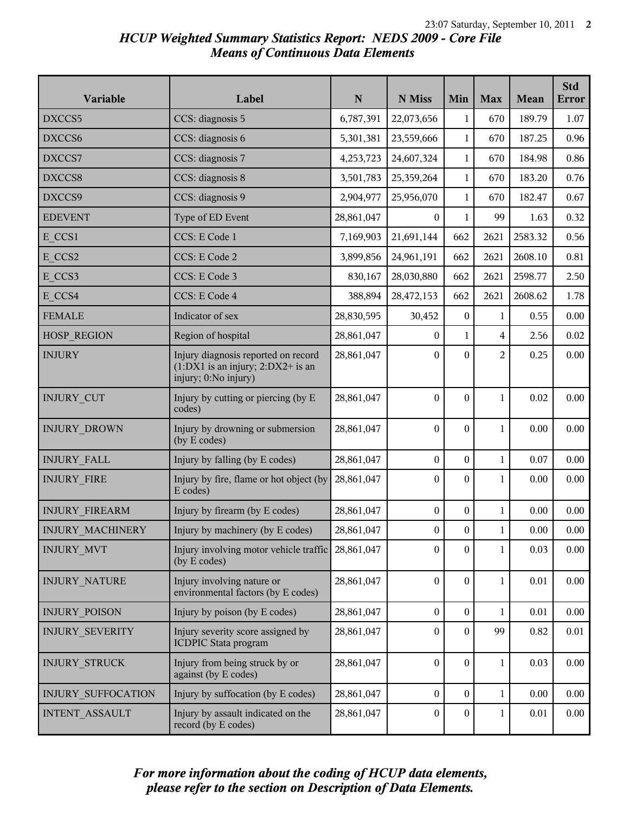# *HCUP Weighted Summary Statistics Report: NEDS 2009 - Core File Means of Continuous Data Elements*

| Variable                  | Label                                                                                                | ${\bf N}$  | N Miss           | Min              | <b>Max</b>     | Mean     | <b>Std</b><br><b>Error</b> |
|---------------------------|------------------------------------------------------------------------------------------------------|------------|------------------|------------------|----------------|----------|----------------------------|
| DXCCS5                    | CCS: diagnosis 5                                                                                     | 6,787,391  | 22,073,656       | $\mathbf{1}$     | 670            | 189.79   | 1.07                       |
| DXCCS6                    | CCS: diagnosis 6                                                                                     | 5,301,381  | 23,559,666       | 1                | 670            | 187.25   | 0.96                       |
| DXCCS7                    | CCS: diagnosis 7                                                                                     | 4,253,723  | 24,607,324       | $\mathbf{1}$     | 670            | 184.98   | 0.86                       |
| DXCCS8                    | CCS: diagnosis 8                                                                                     | 3,501,783  | 25,359,264       | $\mathbf{1}$     | 670            | 183.20   | 0.76                       |
| DXCCS9                    | CCS: diagnosis 9                                                                                     | 2,904,977  | 25,956,070       | $\mathbf{1}$     | 670            | 182.47   | 0.67                       |
| <b>EDEVENT</b>            | Type of ED Event                                                                                     | 28,861,047 | $\boldsymbol{0}$ | $\mathbf{1}$     | 99             | 1.63     | 0.32                       |
| E CCS1                    | CCS: E Code 1                                                                                        | 7,169,903  | 21,691,144       | 662              | 2621           | 2583.32  | 0.56                       |
| E CCS2                    | CCS: E Code 2                                                                                        | 3,899,856  | 24,961,191       | 662              | 2621           | 2608.10  | 0.81                       |
| E CCS3                    | CCS: E Code 3                                                                                        | 830,167    | 28,030,880       | 662              | 2621           | 2598.77  | 2.50                       |
| E CCS4                    | CCS: E Code 4                                                                                        | 388,894    | 28,472,153       | 662              | 2621           | 2608.62  | 1.78                       |
| <b>FEMALE</b>             | Indicator of sex                                                                                     | 28,830,595 | 30,452           | $\boldsymbol{0}$ | 1              | 0.55     | 0.00                       |
| <b>HOSP_REGION</b>        | Region of hospital                                                                                   | 28,861,047 | $\overline{0}$   | 1                | 4              | 2.56     | 0.02                       |
| <b>INJURY</b>             | Injury diagnosis reported on record<br>$(1:DX1$ is an injury; $2:DX2+$ is an<br>injury; 0:No injury) | 28,861,047 | $\mathbf{0}$     | $\boldsymbol{0}$ | $\overline{c}$ | 0.25     | 0.00                       |
| <b>INJURY CUT</b>         | Injury by cutting or piercing (by E<br>codes)                                                        | 28,861,047 | $\boldsymbol{0}$ | $\boldsymbol{0}$ | 1              | 0.02     | 0.00                       |
| INJURY_DROWN              | Injury by drowning or submersion<br>(by E codes)                                                     | 28,861,047 | $\boldsymbol{0}$ | $\Omega$         | 1              | 0.00     | 0.00                       |
| <b>INJURY FALL</b>        | Injury by falling (by E codes)                                                                       | 28,861,047 | $\boldsymbol{0}$ | $\mathbf{0}$     | $\mathbf 1$    | 0.07     | 0.00                       |
| <b>INJURY FIRE</b>        | Injury by fire, flame or hot object (by<br>E codes)                                                  | 28,861,047 | $\boldsymbol{0}$ | $\boldsymbol{0}$ | 1              | 0.00     | 0.00                       |
| <b>INJURY FIREARM</b>     | Injury by firearm (by E codes)                                                                       | 28,861,047 | $\boldsymbol{0}$ | $\overline{0}$   | 1              | 0.00     | 0.00                       |
| INJURY_MACHINERY          | Injury by machinery (by E codes)                                                                     | 28,861,047 | $0\,$            | $\boldsymbol{0}$ | $\mathbf{1}$   | $0.00\,$ | 0.00                       |
| <b>INJURY MVT</b>         | Injury involving motor vehicle traffic 28,861,047<br>(by E codes)                                    |            | $\boldsymbol{0}$ | $\boldsymbol{0}$ | $\mathbf{1}$   | 0.03     | 0.00                       |
| <b>INJURY_NATURE</b>      | Injury involving nature or<br>environmental factors (by E codes)                                     | 28,861,047 | $\boldsymbol{0}$ | $\boldsymbol{0}$ | $\mathbf{1}$   | 0.01     | 0.00                       |
| <b>INJURY POISON</b>      | Injury by poison (by E codes)                                                                        | 28,861,047 | $\boldsymbol{0}$ | $\boldsymbol{0}$ | $\mathbf{1}$   | 0.01     | 0.00                       |
| INJURY_SEVERITY           | Injury severity score assigned by<br><b>ICDPIC Stata program</b>                                     | 28,861,047 | $\boldsymbol{0}$ | $\mathbf{0}$     | 99             | 0.82     | 0.01                       |
| INJURY_STRUCK             | Injury from being struck by or<br>against (by E codes)                                               | 28,861,047 | $\boldsymbol{0}$ | $\boldsymbol{0}$ | 1              | 0.03     | $0.00\,$                   |
| <b>INJURY SUFFOCATION</b> | Injury by suffocation (by E codes)                                                                   | 28,861,047 | $\boldsymbol{0}$ | $\overline{0}$   | $\mathbf 1$    | 0.00     | 0.00                       |
| INTENT_ASSAULT            | Injury by assault indicated on the<br>record (by E codes)                                            | 28,861,047 | $\mathbf{0}$     | $\mathbf{0}$     | 1              | 0.01     | 0.00                       |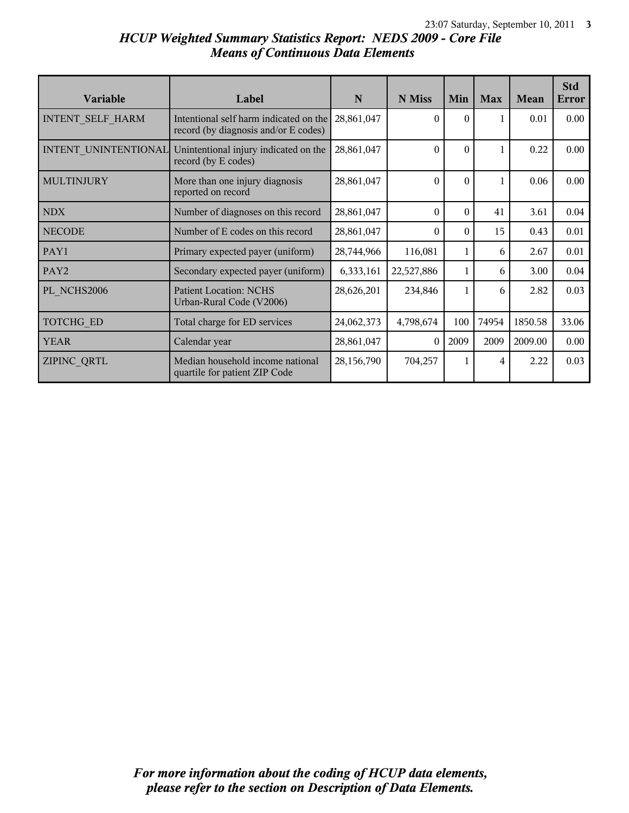# *HCUP Weighted Summary Statistics Report: NEDS 2009 - Core File Means of Continuous Data Elements*

| <b>Variable</b>      | Label                                                                          | N          | N Miss     | Min      | <b>Max</b> | Mean    | <b>Std</b><br>Error |
|----------------------|--------------------------------------------------------------------------------|------------|------------|----------|------------|---------|---------------------|
| INTENT SELF HARM     | Intentional self harm indicated on the<br>record (by diagnosis and/or E codes) | 28,861,047 | $\theta$   | $\theta$ |            | 0.01    | 0.00                |
| INTENT UNINTENTIONAL | Unintentional injury indicated on the<br>record (by E codes)                   | 28,861,047 | $\theta$   | $\Omega$ |            | 0.22    | 0.00                |
| <b>MULTINJURY</b>    | More than one injury diagnosis<br>reported on record                           | 28,861,047 | $\theta$   | $\theta$ |            | 0.06    | 0.00                |
| <b>NDX</b>           | Number of diagnoses on this record                                             | 28,861,047 | $\Omega$   | $\Omega$ | 41         | 3.61    | 0.04                |
| <b>NECODE</b>        | Number of E codes on this record                                               | 28,861,047 | $\Omega$   | $\Omega$ | 15         | 0.43    | 0.01                |
| PAY1                 | Primary expected payer (uniform)                                               | 28,744,966 | 116,081    | 1        | 6          | 2.67    | 0.01                |
| PAY2                 | Secondary expected payer (uniform)                                             | 6,333,161  | 22,527,886 | 1        | 6          | 3.00    | 0.04                |
| PL NCHS2006          | <b>Patient Location: NCHS</b><br>Urban-Rural Code (V2006)                      | 28,626,201 | 234,846    | 1        | 6          | 2.82    | 0.03                |
| TOTCHG_ED            | Total charge for ED services                                                   | 24,062,373 | 4,798,674  | 100      | 74954      | 1850.58 | 33.06               |
| <b>YEAR</b>          | Calendar year                                                                  | 28,861,047 | $\Omega$   | 2009     | 2009       | 2009.00 | 0.00                |
| ZIPINC QRTL          | Median household income national<br>quartile for patient ZIP Code              | 28,156,790 | 704,257    | 1        | 4          | 2.22    | 0.03                |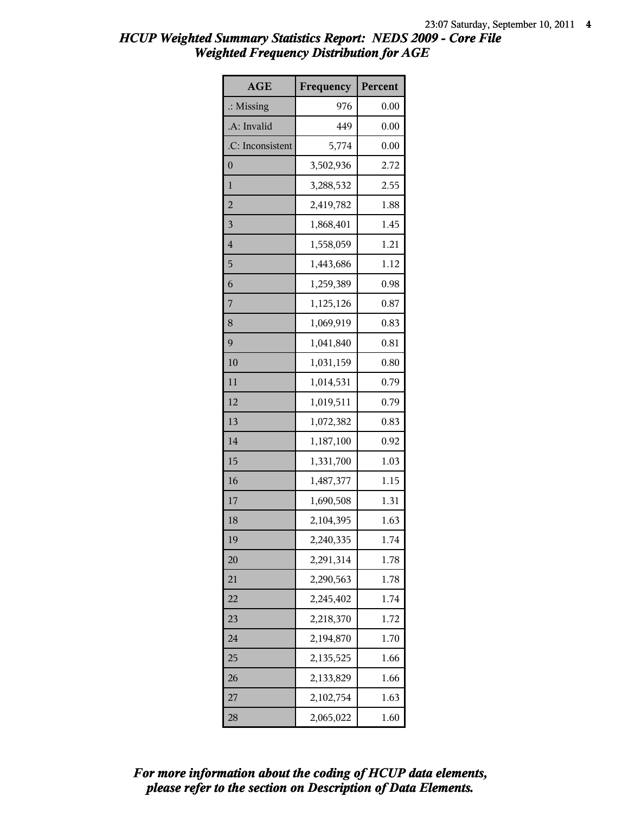| <b>AGE</b>           | Frequency | Percent |
|----------------------|-----------|---------|
| $\therefore$ Missing | 976       | 0.00    |
| .A: Invalid          | 449       | 0.00    |
| .C: Inconsistent     | 5,774     | 0.00    |
| $\boldsymbol{0}$     | 3,502,936 | 2.72    |
| $\mathbf{1}$         | 3,288,532 | 2.55    |
| $\overline{2}$       | 2,419,782 | 1.88    |
| 3                    | 1,868,401 | 1.45    |
| $\overline{4}$       | 1,558,059 | 1.21    |
| 5                    | 1,443,686 | 1.12    |
| 6                    | 1,259,389 | 0.98    |
| 7                    | 1,125,126 | 0.87    |
| 8                    | 1,069,919 | 0.83    |
| 9                    | 1,041,840 | 0.81    |
| 10                   | 1,031,159 | 0.80    |
| 11                   | 1,014,531 | 0.79    |
| 12                   | 1,019,511 | 0.79    |
| 13                   | 1,072,382 | 0.83    |
| 14                   | 1,187,100 | 0.92    |
| 15                   | 1,331,700 | 1.03    |
| 16                   | 1,487,377 | 1.15    |
| 17                   | 1,690,508 | 1.31    |
| 18                   | 2,104,395 | 1.63    |
| 19                   | 2,240,335 | 1.74    |
| 20                   | 2,291,314 | 1.78    |
| 21                   | 2,290,563 | 1.78    |
| 22                   | 2,245,402 | 1.74    |
| 23                   | 2,218,370 | 1.72    |
| 24                   | 2,194,870 | 1.70    |
| 25                   | 2,135,525 | 1.66    |
| 26                   | 2,133,829 | 1.66    |
| 27                   | 2,102,754 | 1.63    |
| 28                   | 2,065,022 | 1.60    |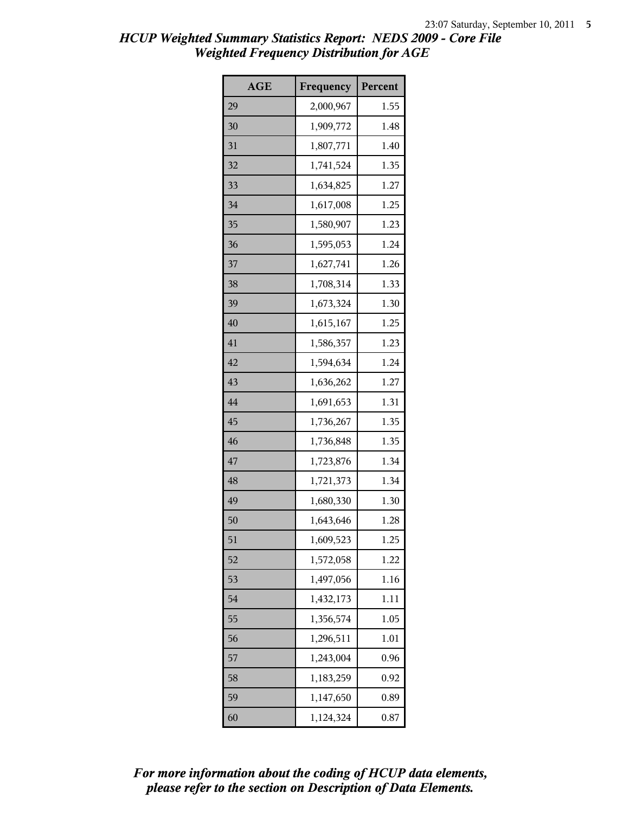| <b>AGE</b> | Frequency | Percent |
|------------|-----------|---------|
| 29         | 2,000,967 | 1.55    |
| 30         | 1,909,772 | 1.48    |
| 31         | 1,807,771 | 1.40    |
| 32         | 1,741,524 | 1.35    |
| 33         | 1,634,825 | 1.27    |
| 34         | 1,617,008 | 1.25    |
| 35         | 1,580,907 | 1.23    |
| 36         | 1,595,053 | 1.24    |
| 37         | 1,627,741 | 1.26    |
| 38         | 1,708,314 | 1.33    |
| 39         | 1,673,324 | 1.30    |
| 40         | 1,615,167 | 1.25    |
| 41         | 1,586,357 | 1.23    |
| 42         | 1,594,634 | 1.24    |
| 43         | 1,636,262 | 1.27    |
| 44         | 1,691,653 | 1.31    |
| 45         | 1,736,267 | 1.35    |
| 46         | 1,736,848 | 1.35    |
| 47         | 1,723,876 | 1.34    |
| 48         | 1,721,373 | 1.34    |
| 49         | 1,680,330 | 1.30    |
| 50         | 1,643,646 | 1.28    |
| 51         | 1,609,523 | 1.25    |
| 52         | 1,572,058 | 1.22    |
| 53         | 1,497,056 | 1.16    |
| 54         | 1,432,173 | 1.11    |
| 55         | 1,356,574 | 1.05    |
| 56         | 1,296,511 | 1.01    |
| 57         | 1,243,004 | 0.96    |
| 58         | 1,183,259 | 0.92    |
| 59         | 1,147,650 | 0.89    |
| 60         | 1,124,324 | 0.87    |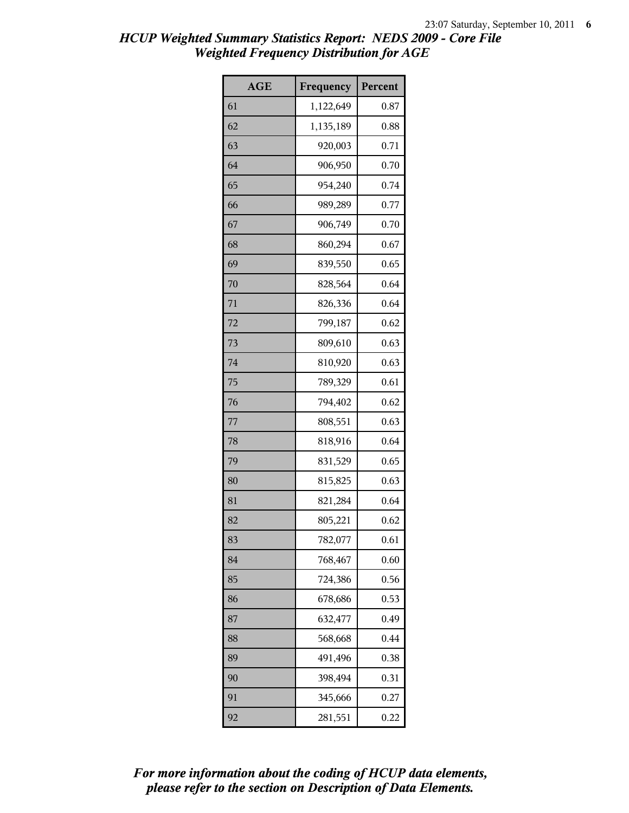| <b>AGE</b> | Frequency | Percent |
|------------|-----------|---------|
| 61         | 1,122,649 | 0.87    |
| 62         | 1,135,189 | 0.88    |
| 63         | 920,003   | 0.71    |
| 64         | 906,950   | 0.70    |
| 65         | 954,240   | 0.74    |
| 66         | 989,289   | 0.77    |
| 67         | 906,749   | 0.70    |
| 68         | 860,294   | 0.67    |
| 69         | 839,550   | 0.65    |
| 70         | 828,564   | 0.64    |
| 71         | 826,336   | 0.64    |
| 72         | 799,187   | 0.62    |
| 73         | 809,610   | 0.63    |
| 74         | 810,920   | 0.63    |
| 75         | 789,329   | 0.61    |
| 76         | 794,402   | 0.62    |
| 77         | 808,551   | 0.63    |
| 78         | 818,916   | 0.64    |
| 79         | 831,529   | 0.65    |
| 80         | 815,825   | 0.63    |
| 81         | 821,284   | 0.64    |
| 82         | 805,221   | 0.62    |
| 83         | 782,077   | 0.61    |
| 84         | 768,467   | 0.60    |
| 85         | 724,386   | 0.56    |
| 86         | 678,686   | 0.53    |
| 87         | 632,477   | 0.49    |
| 88         | 568,668   | 0.44    |
| 89         | 491,496   | 0.38    |
| 90         | 398,494   | 0.31    |
| 91         | 345,666   | 0.27    |
| 92         | 281,551   | 0.22    |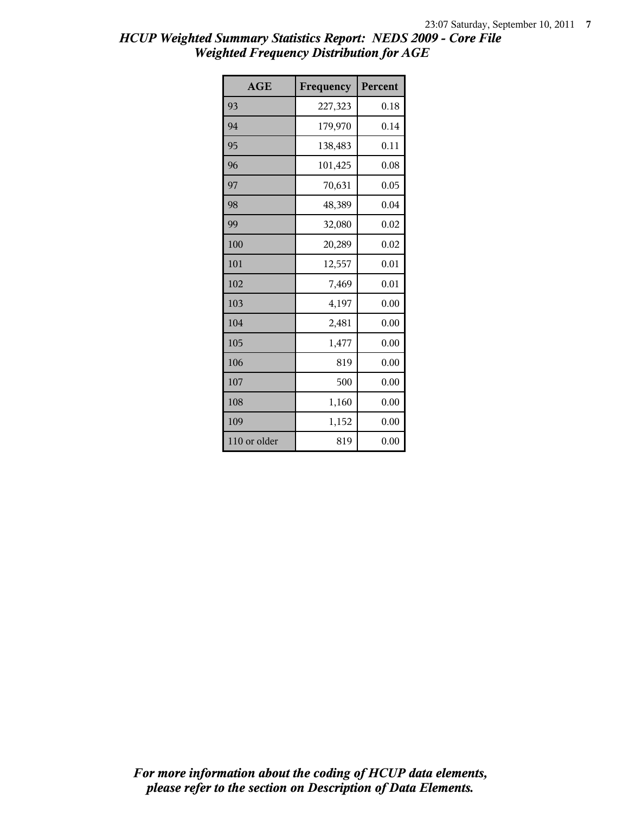| <b>AGE</b>   | Frequency | Percent |
|--------------|-----------|---------|
| 93           | 227,323   | 0.18    |
| 94           | 179,970   | 0.14    |
| 95           | 138,483   | 0.11    |
| 96           | 101,425   | 0.08    |
| 97           | 70,631    | 0.05    |
| 98           | 48,389    | 0.04    |
| 99           | 32,080    | 0.02    |
| 100          | 20,289    | 0.02    |
| 101          | 12,557    | 0.01    |
| 102          | 7,469     | 0.01    |
| 103          | 4,197     | 0.00    |
| 104          | 2,481     | 0.00    |
| 105          | 1,477     | 0.00    |
| 106          | 819       | 0.00    |
| 107          | 500       | 0.00    |
| 108          | 1,160     | 0.00    |
| 109          | 1,152     | 0.00    |
| 110 or older | 819       | 0.00    |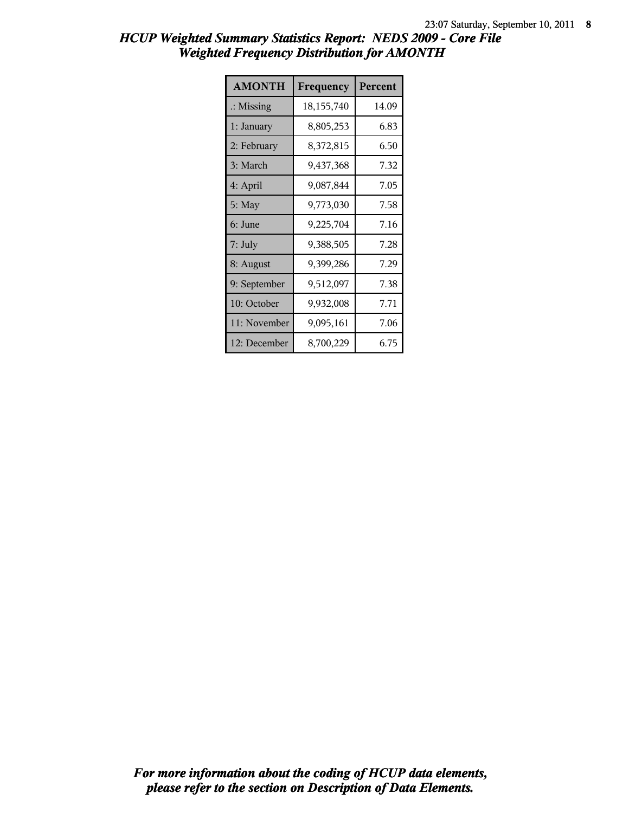| HCUP Weighted Summary Statistics Report: NEDS 2009 - Core File |                                                   |  |  |  |
|----------------------------------------------------------------|---------------------------------------------------|--|--|--|
|                                                                | <b>Weighted Frequency Distribution for AMONTH</b> |  |  |  |

| <b>AMONTH</b>        | Frequency  | Percent |
|----------------------|------------|---------|
| $\therefore$ Missing | 18,155,740 | 14.09   |
| 1: January           | 8,805,253  | 6.83    |
| 2: February          | 8,372,815  | 6.50    |
| 3: March             | 9,437,368  | 7.32    |
| 4: April             | 9,087,844  | 7.05    |
| 5: May               | 9,773,030  | 7.58    |
| 6: June              | 9,225,704  | 7.16    |
| $7:$ July            | 9,388,505  | 7.28    |
| 8: August            | 9,399,286  | 7.29    |
| 9: September         | 9,512,097  | 7.38    |
| 10: October          | 9,932,008  | 7.71    |
| 11: November         | 9,095,161  | 7.06    |
| 12: December         | 8,700,229  | 6.75    |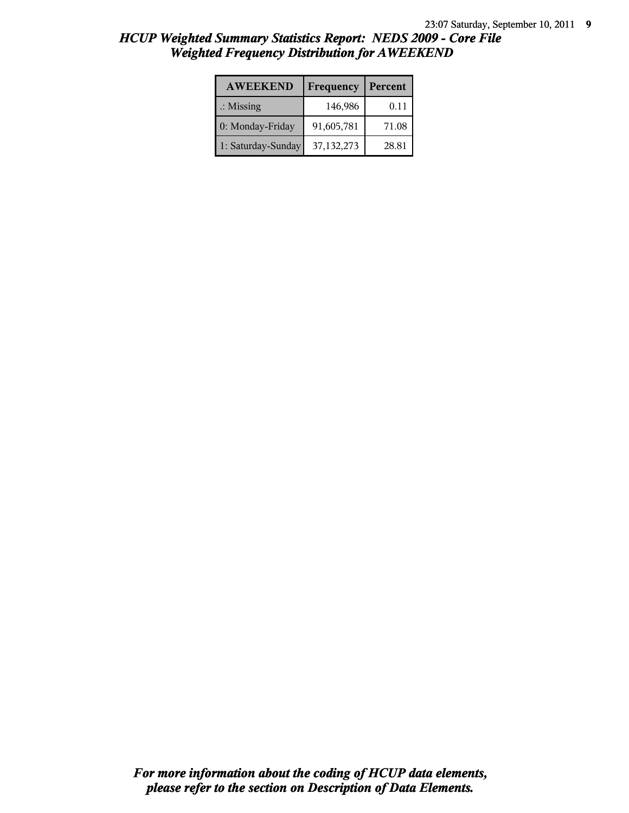| <b>AWEEKEND</b>      | Frequency  | Percent |
|----------------------|------------|---------|
| $\therefore$ Missing | 146,986    | 0.11    |
| 0: Monday-Friday     | 91,605,781 | 71.08   |
| 1: Saturday-Sunday   | 37,132,273 | 28.81   |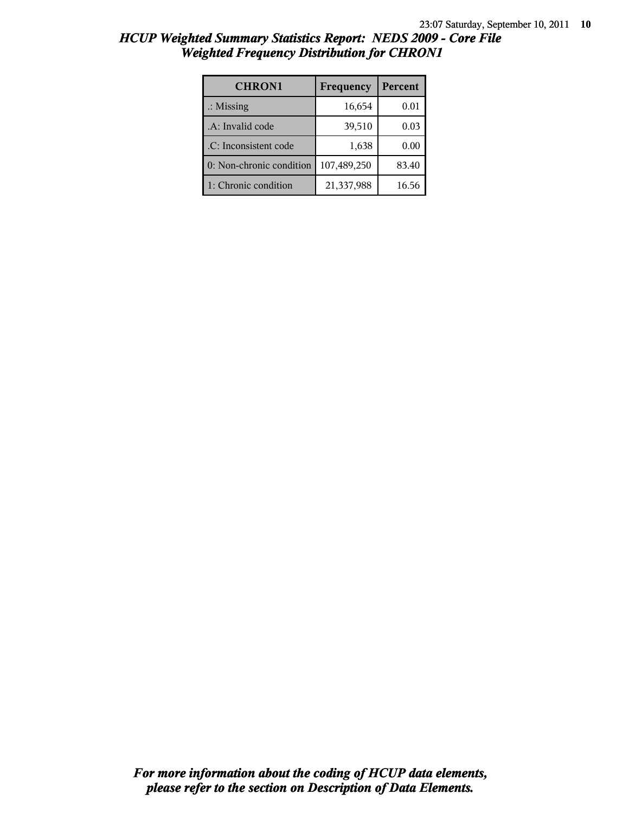| HCUP Weighted Summary Statistics Report: NEDS 2009 - Core File |  |  |
|----------------------------------------------------------------|--|--|
| <b>Weighted Frequency Distribution for CHRON1</b>              |  |  |

| <b>CHRON1</b>            | Frequency   | Percent |
|--------------------------|-------------|---------|
| $\therefore$ Missing     | 16,654      | 0.01    |
| .A: Invalid code         | 39,510      | 0.03    |
| .C: Inconsistent code    | 1,638       | 0.00    |
| 0: Non-chronic condition | 107,489,250 | 83.40   |
| 1: Chronic condition     | 21,337,988  | 16.56   |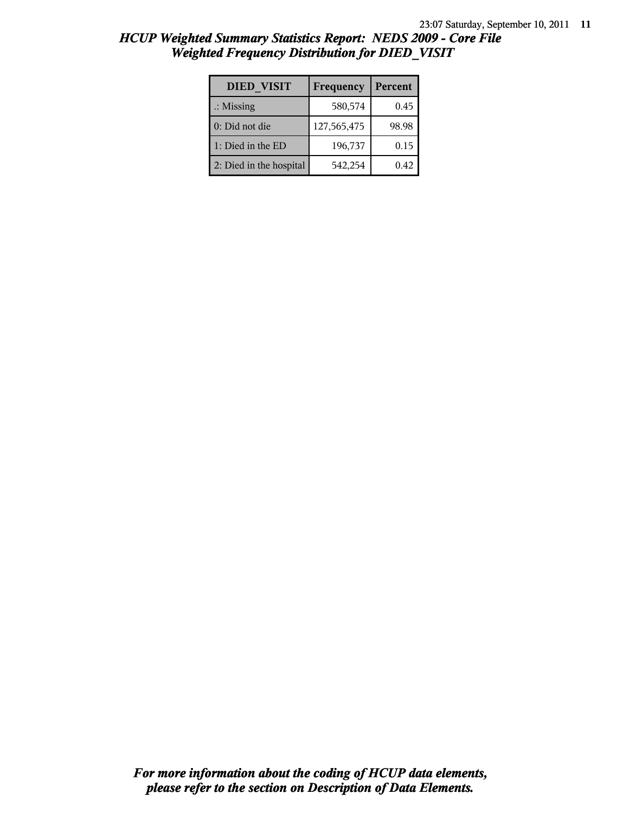| <b>DIED VISIT</b>       | Frequency   | Percent |
|-------------------------|-------------|---------|
| $\therefore$ Missing    | 580,574     | 0.45    |
| 0: Did not die          | 127,565,475 | 98.98   |
| 1: Died in the ED       | 196,737     | 0.15    |
| 2: Died in the hospital | 542,254     | 0.42    |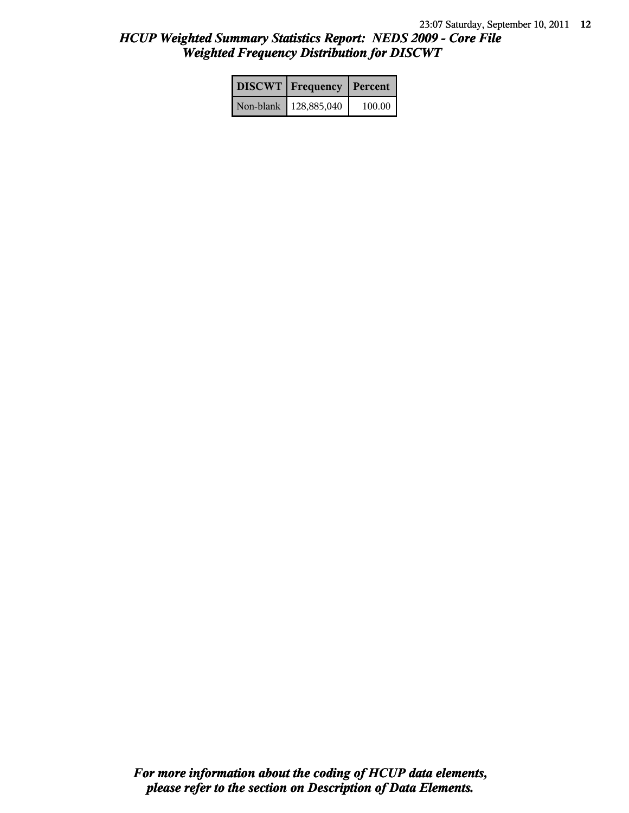| <b>DISCWT</b> Frequency Percent |        |
|---------------------------------|--------|
| Non-blank   128,885,040         | 100.00 |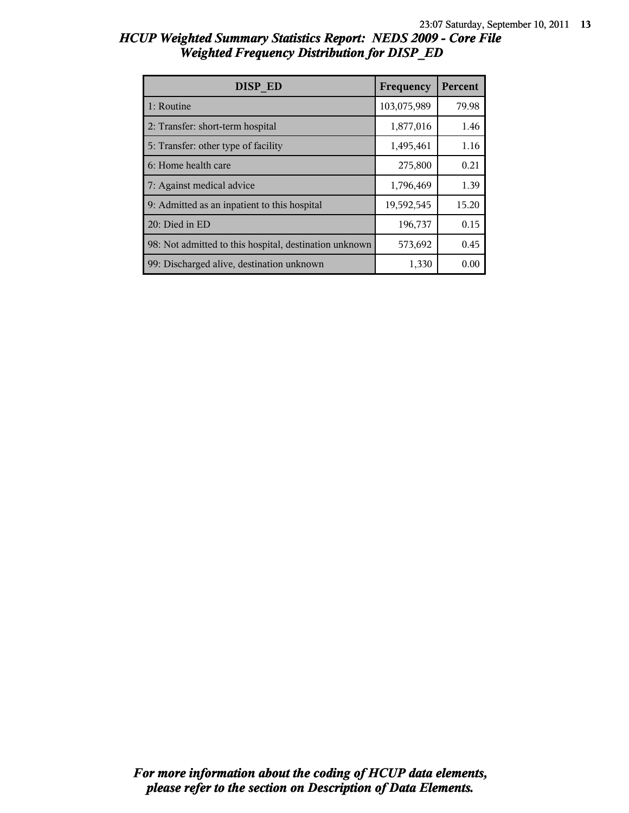| <b>DISP ED</b>                                         | Frequency   | Percent |
|--------------------------------------------------------|-------------|---------|
| 1: Routine                                             | 103,075,989 | 79.98   |
| 2: Transfer: short-term hospital                       | 1,877,016   | 1.46    |
| 5: Transfer: other type of facility                    | 1,495,461   | 1.16    |
| 6: Home health care                                    | 275,800     | 0.21    |
| 7: Against medical advice                              | 1,796,469   | 1.39    |
| 9: Admitted as an inpatient to this hospital           | 19,592,545  | 15.20   |
| 20: Died in ED                                         | 196,737     | 0.15    |
| 98: Not admitted to this hospital, destination unknown | 573,692     | 0.45    |
| 99: Discharged alive, destination unknown              | 1,330       | 0.00    |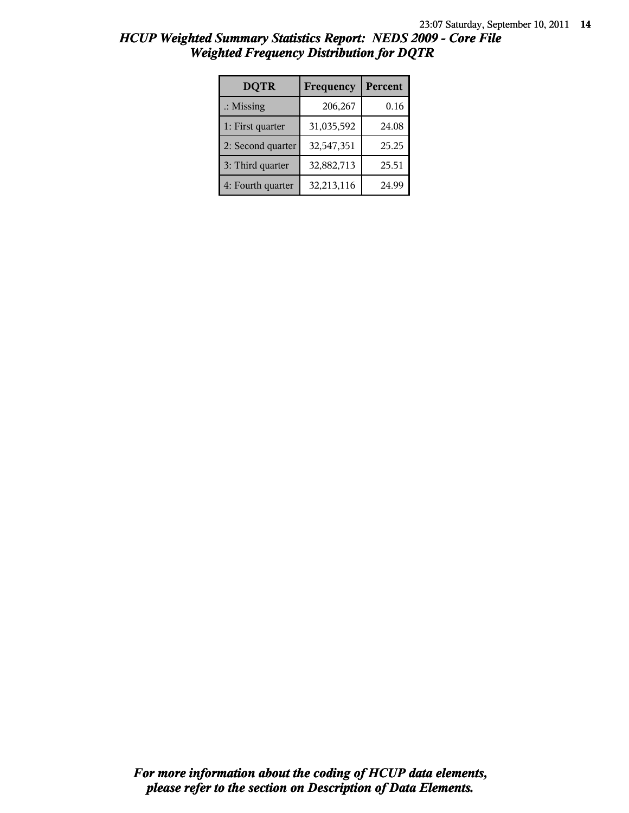| <b>DQTR</b>          | Frequency  | Percent |
|----------------------|------------|---------|
| $\therefore$ Missing | 206,267    | 0.16    |
| 1: First quarter     | 31,035,592 | 24.08   |
| 2: Second quarter    | 32,547,351 | 25.25   |
| 3: Third quarter     | 32,882,713 | 25.51   |
| 4: Fourth quarter    | 32,213,116 | 24.99   |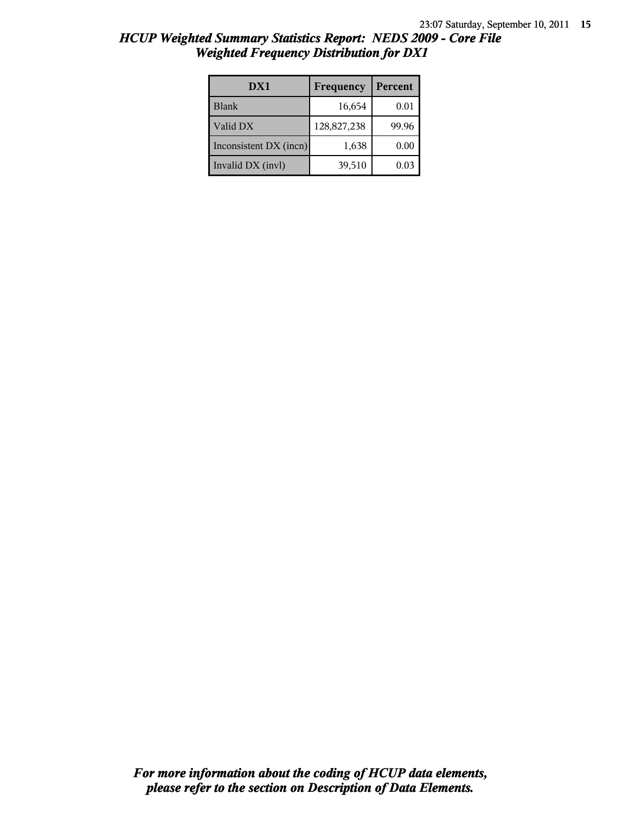| HCUP Weighted Summary Statistics Report: NEDS 2009 - Core File |  |
|----------------------------------------------------------------|--|
| <b>Weighted Frequency Distribution for DX1</b>                 |  |

| DX1                    | Frequency   | Percent |
|------------------------|-------------|---------|
| <b>Blank</b>           | 16,654      | 0.01    |
| Valid DX               | 128,827,238 | 99.96   |
| Inconsistent DX (incn) | 1,638       | 0.00    |
| Invalid DX (invl)      | 39,510      | 0.03    |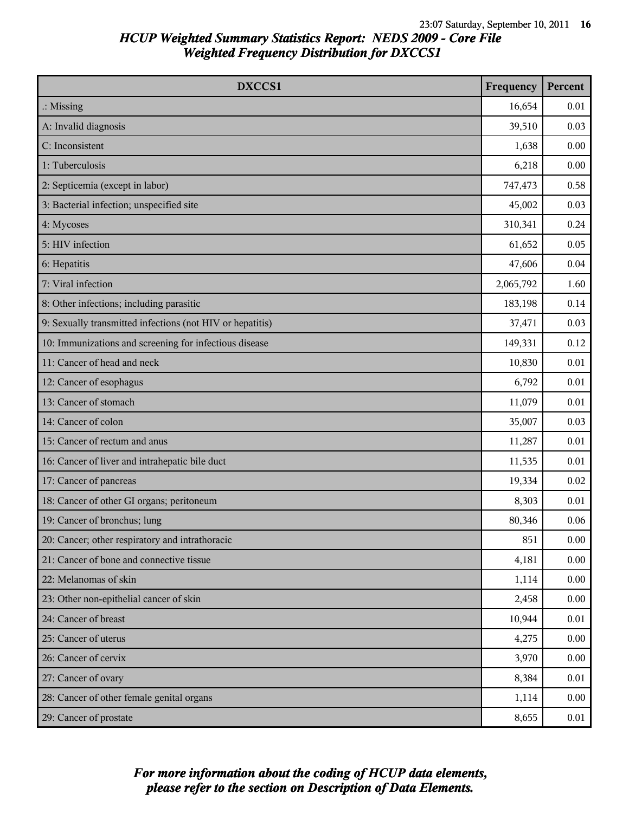| DXCCS1                                                    | Frequency | Percent |
|-----------------------------------------------------------|-----------|---------|
| $\therefore$ Missing                                      | 16,654    | 0.01    |
| A: Invalid diagnosis                                      | 39,510    | 0.03    |
| C: Inconsistent                                           | 1,638     | 0.00    |
| 1: Tuberculosis                                           | 6,218     | 0.00    |
| 2: Septicemia (except in labor)                           | 747,473   | 0.58    |
| 3: Bacterial infection; unspecified site                  | 45,002    | 0.03    |
| 4: Mycoses                                                | 310,341   | 0.24    |
| 5: HIV infection                                          | 61,652    | 0.05    |
| 6: Hepatitis                                              | 47,606    | 0.04    |
| 7: Viral infection                                        | 2,065,792 | 1.60    |
| 8: Other infections; including parasitic                  | 183,198   | 0.14    |
| 9: Sexually transmitted infections (not HIV or hepatitis) | 37,471    | 0.03    |
| 10: Immunizations and screening for infectious disease    | 149,331   | 0.12    |
| 11: Cancer of head and neck                               | 10,830    | 0.01    |
| 12: Cancer of esophagus                                   | 6,792     | 0.01    |
| 13: Cancer of stomach                                     | 11,079    | 0.01    |
| 14: Cancer of colon                                       | 35,007    | 0.03    |
| 15: Cancer of rectum and anus                             | 11,287    | 0.01    |
| 16: Cancer of liver and intrahepatic bile duct            | 11,535    | 0.01    |
| 17: Cancer of pancreas                                    | 19,334    | 0.02    |
| 18: Cancer of other GI organs; peritoneum                 | 8,303     | 0.01    |
| 19: Cancer of bronchus; lung                              | 80,346    | 0.06    |
| 20: Cancer; other respiratory and intrathoracic           | 851       | 0.00    |
| 21: Cancer of bone and connective tissue                  | 4,181     | 0.00    |
| 22: Melanomas of skin                                     | 1,114     | 0.00    |
| 23: Other non-epithelial cancer of skin                   | 2,458     | 0.00    |
| 24: Cancer of breast                                      | 10,944    | 0.01    |
| 25: Cancer of uterus                                      | 4,275     | 0.00    |
| 26: Cancer of cervix                                      | 3,970     | 0.00    |
| 27: Cancer of ovary                                       | 8,384     | 0.01    |
| 28: Cancer of other female genital organs                 | 1,114     | 0.00    |
| 29: Cancer of prostate                                    | 8,655     | 0.01    |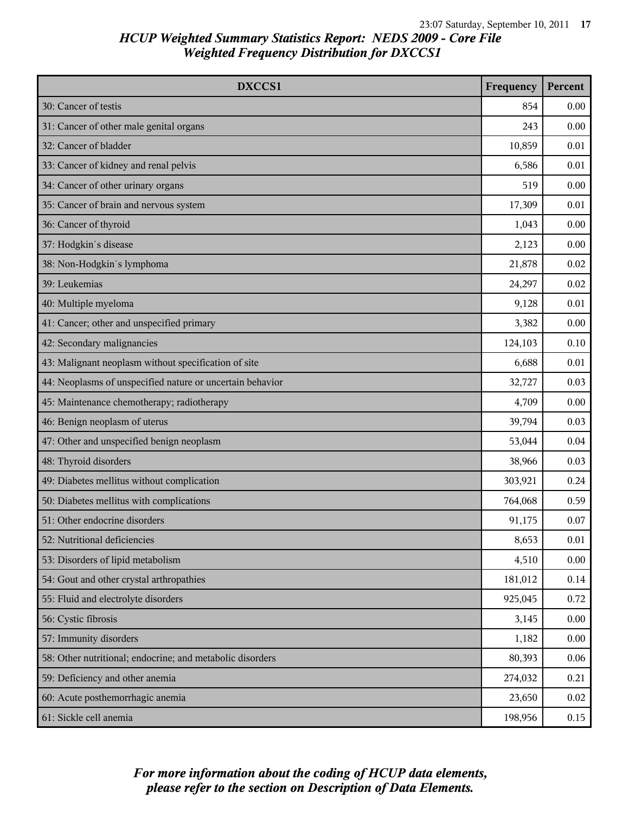| DXCCS1                                                    | Frequency | Percent |
|-----------------------------------------------------------|-----------|---------|
| 30: Cancer of testis                                      | 854       | 0.00    |
| 31: Cancer of other male genital organs                   | 243       | 0.00    |
| 32: Cancer of bladder                                     | 10,859    | 0.01    |
| 33: Cancer of kidney and renal pelvis                     | 6,586     | 0.01    |
| 34: Cancer of other urinary organs                        | 519       | 0.00    |
| 35: Cancer of brain and nervous system                    | 17,309    | 0.01    |
| 36: Cancer of thyroid                                     | 1,043     | 0.00    |
| 37: Hodgkin's disease                                     | 2,123     | 0.00    |
| 38: Non-Hodgkin's lymphoma                                | 21,878    | 0.02    |
| 39: Leukemias                                             | 24,297    | 0.02    |
| 40: Multiple myeloma                                      | 9,128     | 0.01    |
| 41: Cancer; other and unspecified primary                 | 3,382     | 0.00    |
| 42: Secondary malignancies                                | 124,103   | 0.10    |
| 43: Malignant neoplasm without specification of site      | 6,688     | 0.01    |
| 44: Neoplasms of unspecified nature or uncertain behavior | 32,727    | 0.03    |
| 45: Maintenance chemotherapy; radiotherapy                | 4,709     | 0.00    |
| 46: Benign neoplasm of uterus                             | 39,794    | 0.03    |
| 47: Other and unspecified benign neoplasm                 | 53,044    | 0.04    |
| 48: Thyroid disorders                                     | 38,966    | 0.03    |
| 49: Diabetes mellitus without complication                | 303,921   | 0.24    |
| 50: Diabetes mellitus with complications                  | 764,068   | 0.59    |
| 51: Other endocrine disorders                             | 91,175    | 0.07    |
| 52: Nutritional deficiencies                              | 8,653     | 0.01    |
| 53: Disorders of lipid metabolism                         | 4,510     | 0.00    |
| 54: Gout and other crystal arthropathies                  | 181,012   | 0.14    |
| 55: Fluid and electrolyte disorders                       | 925,045   | 0.72    |
| 56: Cystic fibrosis                                       | 3,145     | 0.00    |
| 57: Immunity disorders                                    | 1,182     | 0.00    |
| 58: Other nutritional; endocrine; and metabolic disorders | 80,393    | 0.06    |
| 59: Deficiency and other anemia                           | 274,032   | 0.21    |
| 60: Acute posthemorrhagic anemia                          | 23,650    | 0.02    |
| 61: Sickle cell anemia                                    | 198,956   | 0.15    |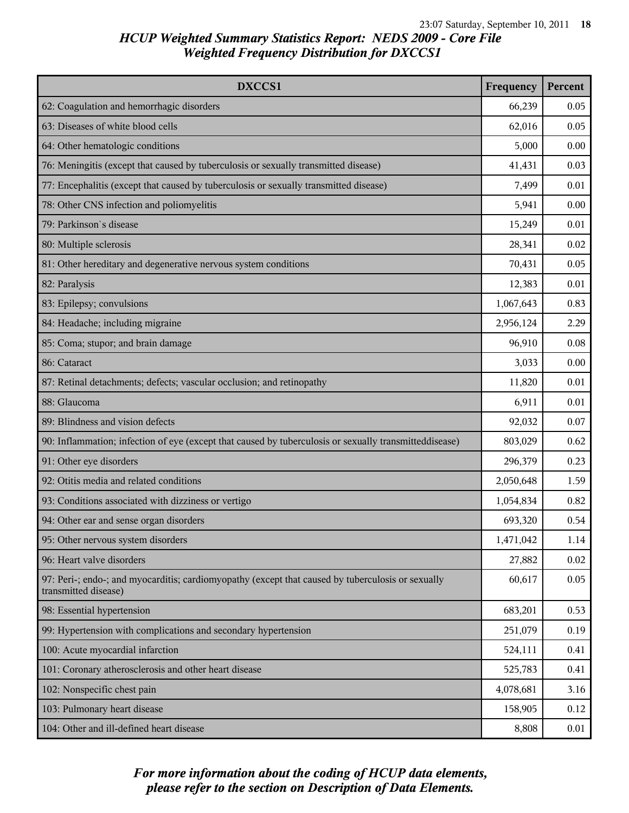| DXCCS1                                                                                                                    | Frequency | Percent |
|---------------------------------------------------------------------------------------------------------------------------|-----------|---------|
| 62: Coagulation and hemorrhagic disorders                                                                                 | 66,239    | 0.05    |
| 63: Diseases of white blood cells                                                                                         | 62,016    | 0.05    |
| 64: Other hematologic conditions                                                                                          | 5,000     | 0.00    |
| 76: Meningitis (except that caused by tuberculosis or sexually transmitted disease)                                       | 41,431    | 0.03    |
| 77: Encephalitis (except that caused by tuberculosis or sexually transmitted disease)                                     | 7,499     | 0.01    |
| 78: Other CNS infection and poliomyelitis                                                                                 | 5,941     | 0.00    |
| 79: Parkinson's disease                                                                                                   | 15,249    | 0.01    |
| 80: Multiple sclerosis                                                                                                    | 28,341    | 0.02    |
| 81: Other hereditary and degenerative nervous system conditions                                                           | 70,431    | 0.05    |
| 82: Paralysis                                                                                                             | 12,383    | 0.01    |
| 83: Epilepsy; convulsions                                                                                                 | 1,067,643 | 0.83    |
| 84: Headache; including migraine                                                                                          | 2,956,124 | 2.29    |
| 85: Coma; stupor; and brain damage                                                                                        | 96,910    | 0.08    |
| 86: Cataract                                                                                                              | 3,033     | 0.00    |
| 87: Retinal detachments; defects; vascular occlusion; and retinopathy                                                     | 11,820    | 0.01    |
| 88: Glaucoma                                                                                                              | 6,911     | 0.01    |
| 89: Blindness and vision defects                                                                                          | 92,032    | 0.07    |
| 90: Inflammation; infection of eye (except that caused by tuberculosis or sexually transmitteddisease)                    | 803,029   | 0.62    |
| 91: Other eye disorders                                                                                                   | 296,379   | 0.23    |
| 92: Otitis media and related conditions                                                                                   | 2,050,648 | 1.59    |
| 93: Conditions associated with dizziness or vertigo                                                                       | 1,054,834 | 0.82    |
| 94: Other ear and sense organ disorders                                                                                   | 693,320   | 0.54    |
| 95: Other nervous system disorders                                                                                        | 1,471,042 | 1.14    |
| 96: Heart valve disorders                                                                                                 | 27,882    | 0.02    |
| 97: Peri-; endo-; and myocarditis; cardiomyopathy (except that caused by tuberculosis or sexually<br>transmitted disease) | 60,617    | 0.05    |
| 98: Essential hypertension                                                                                                | 683,201   | 0.53    |
| 99: Hypertension with complications and secondary hypertension                                                            | 251,079   | 0.19    |
| 100: Acute myocardial infarction                                                                                          | 524,111   | 0.41    |
| 101: Coronary atherosclerosis and other heart disease                                                                     | 525,783   | 0.41    |
| 102: Nonspecific chest pain                                                                                               | 4,078,681 | 3.16    |
| 103: Pulmonary heart disease                                                                                              | 158,905   | 0.12    |
| 104: Other and ill-defined heart disease                                                                                  | 8,808     | 0.01    |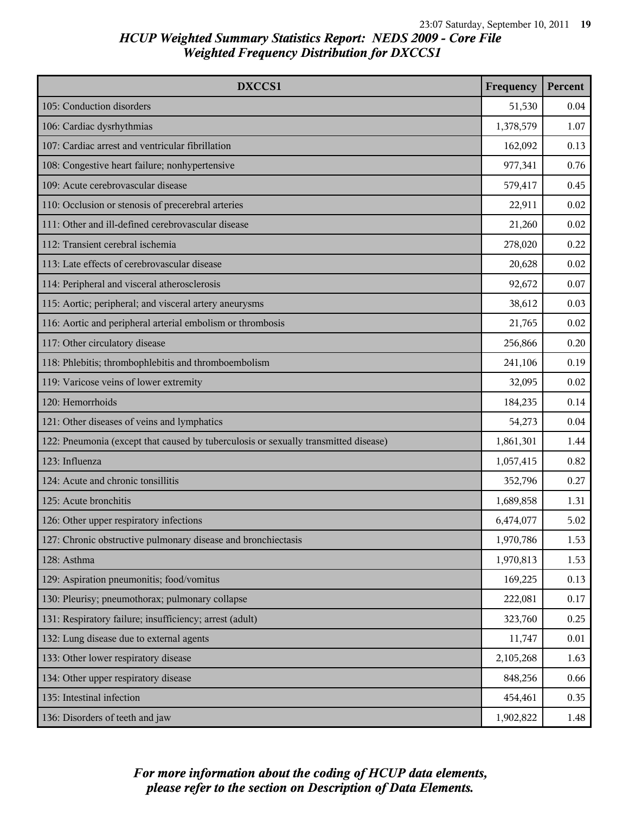| DXCCS1                                                                              | Frequency | Percent |
|-------------------------------------------------------------------------------------|-----------|---------|
| 105: Conduction disorders                                                           | 51,530    | 0.04    |
| 106: Cardiac dysrhythmias                                                           | 1,378,579 | 1.07    |
| 107: Cardiac arrest and ventricular fibrillation                                    | 162,092   | 0.13    |
| 108: Congestive heart failure; nonhypertensive                                      | 977,341   | 0.76    |
| 109: Acute cerebrovascular disease                                                  | 579,417   | 0.45    |
| 110: Occlusion or stenosis of precerebral arteries                                  | 22,911    | 0.02    |
| 111: Other and ill-defined cerebrovascular disease                                  | 21,260    | 0.02    |
| 112: Transient cerebral ischemia                                                    | 278,020   | 0.22    |
| 113: Late effects of cerebrovascular disease                                        | 20,628    | 0.02    |
| 114: Peripheral and visceral atherosclerosis                                        | 92,672    | 0.07    |
| 115: Aortic; peripheral; and visceral artery aneurysms                              | 38,612    | 0.03    |
| 116: Aortic and peripheral arterial embolism or thrombosis                          | 21,765    | 0.02    |
| 117: Other circulatory disease                                                      | 256,866   | 0.20    |
| 118: Phlebitis; thrombophlebitis and thromboembolism                                | 241,106   | 0.19    |
| 119: Varicose veins of lower extremity                                              | 32,095    | 0.02    |
| 120: Hemorrhoids                                                                    | 184,235   | 0.14    |
| 121: Other diseases of veins and lymphatics                                         | 54,273    | 0.04    |
| 122: Pneumonia (except that caused by tuberculosis or sexually transmitted disease) | 1,861,301 | 1.44    |
| 123: Influenza                                                                      | 1,057,415 | 0.82    |
| 124: Acute and chronic tonsillitis                                                  | 352,796   | 0.27    |
| 125: Acute bronchitis                                                               | 1,689,858 | 1.31    |
| 126: Other upper respiratory infections                                             | 6,474,077 | 5.02    |
| 127: Chronic obstructive pulmonary disease and bronchiectasis                       | 1,970,786 | 1.53    |
| 128: Asthma                                                                         | 1,970,813 | 1.53    |
| 129: Aspiration pneumonitis; food/vomitus                                           | 169,225   | 0.13    |
| 130: Pleurisy; pneumothorax; pulmonary collapse                                     | 222,081   | 0.17    |
| 131: Respiratory failure; insufficiency; arrest (adult)                             | 323,760   | 0.25    |
| 132: Lung disease due to external agents                                            | 11,747    | 0.01    |
| 133: Other lower respiratory disease                                                | 2,105,268 | 1.63    |
| 134: Other upper respiratory disease                                                | 848,256   | 0.66    |
| 135: Intestinal infection                                                           | 454,461   | 0.35    |
| 136: Disorders of teeth and jaw                                                     | 1,902,822 | 1.48    |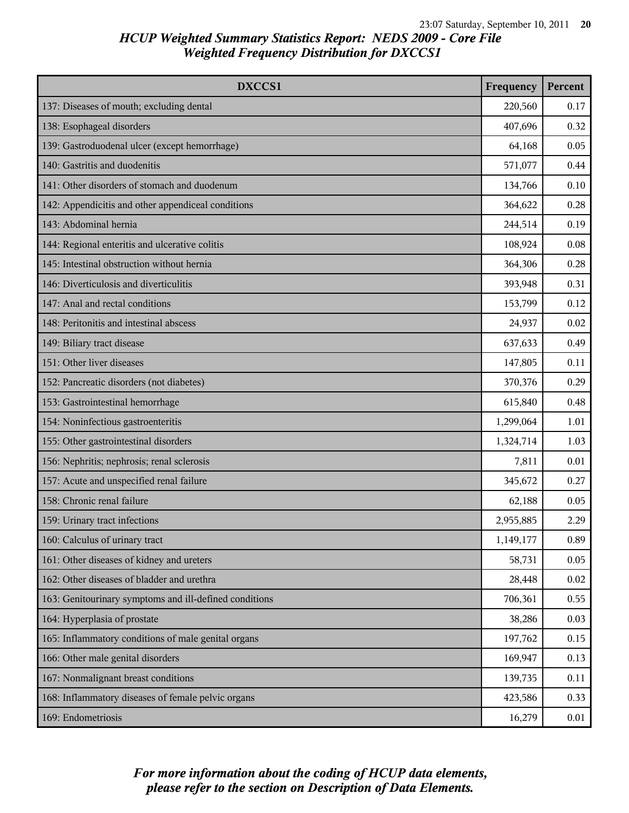| DXCCS1                                                 | Frequency | Percent |
|--------------------------------------------------------|-----------|---------|
| 137: Diseases of mouth; excluding dental               | 220,560   | 0.17    |
| 138: Esophageal disorders                              | 407,696   | 0.32    |
| 139: Gastroduodenal ulcer (except hemorrhage)          | 64,168    | 0.05    |
| 140: Gastritis and duodenitis                          | 571,077   | 0.44    |
| 141: Other disorders of stomach and duodenum           | 134,766   | 0.10    |
| 142: Appendicitis and other appendiceal conditions     | 364,622   | 0.28    |
| 143: Abdominal hernia                                  | 244,514   | 0.19    |
| 144: Regional enteritis and ulcerative colitis         | 108,924   | 0.08    |
| 145: Intestinal obstruction without hernia             | 364,306   | 0.28    |
| 146: Diverticulosis and diverticulitis                 | 393,948   | 0.31    |
| 147: Anal and rectal conditions                        | 153,799   | 0.12    |
| 148: Peritonitis and intestinal abscess                | 24,937    | 0.02    |
| 149: Biliary tract disease                             | 637,633   | 0.49    |
| 151: Other liver diseases                              | 147,805   | 0.11    |
| 152: Pancreatic disorders (not diabetes)               | 370,376   | 0.29    |
| 153: Gastrointestinal hemorrhage                       | 615,840   | 0.48    |
| 154: Noninfectious gastroenteritis                     | 1,299,064 | 1.01    |
| 155: Other gastrointestinal disorders                  | 1,324,714 | 1.03    |
| 156: Nephritis; nephrosis; renal sclerosis             | 7,811     | 0.01    |
| 157: Acute and unspecified renal failure               | 345,672   | 0.27    |
| 158: Chronic renal failure                             | 62,188    | 0.05    |
| 159: Urinary tract infections                          | 2,955,885 | 2.29    |
| 160: Calculus of urinary tract                         | 1,149,177 | 0.89    |
| 161: Other diseases of kidney and ureters              | 58,731    | 0.05    |
| 162: Other diseases of bladder and urethra             | 28,448    | 0.02    |
| 163: Genitourinary symptoms and ill-defined conditions | 706,361   | 0.55    |
| 164: Hyperplasia of prostate                           | 38,286    | 0.03    |
| 165: Inflammatory conditions of male genital organs    | 197,762   | 0.15    |
| 166: Other male genital disorders                      | 169,947   | 0.13    |
| 167: Nonmalignant breast conditions                    | 139,735   | 0.11    |
| 168: Inflammatory diseases of female pelvic organs     | 423,586   | 0.33    |
| 169: Endometriosis                                     | 16,279    | 0.01    |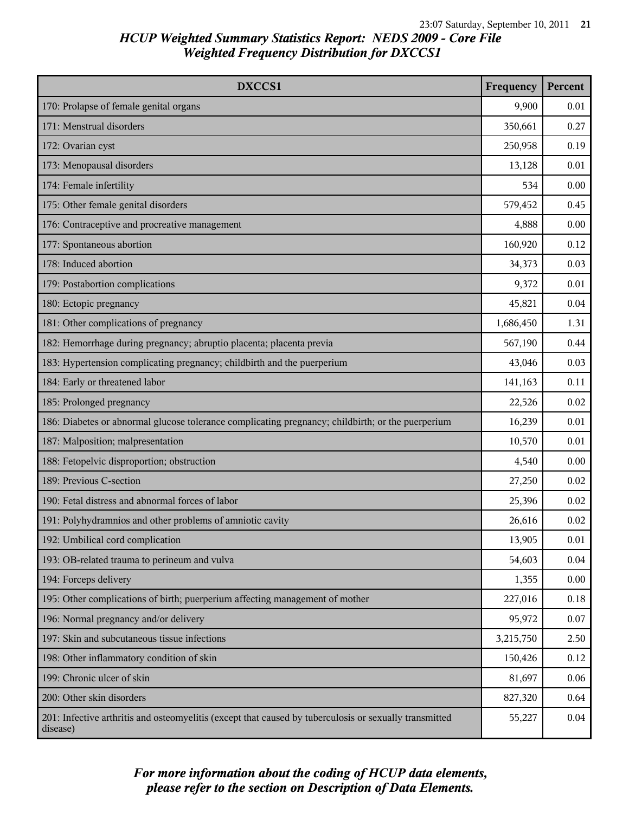| DXCCS1                                                                                                             | Frequency | Percent |
|--------------------------------------------------------------------------------------------------------------------|-----------|---------|
| 170: Prolapse of female genital organs                                                                             | 9,900     | 0.01    |
| 171: Menstrual disorders                                                                                           | 350,661   | 0.27    |
| 172: Ovarian cyst                                                                                                  | 250,958   | 0.19    |
| 173: Menopausal disorders                                                                                          | 13,128    | 0.01    |
| 174: Female infertility                                                                                            | 534       | 0.00    |
| 175: Other female genital disorders                                                                                | 579,452   | 0.45    |
| 176: Contraceptive and procreative management                                                                      | 4,888     | 0.00    |
| 177: Spontaneous abortion                                                                                          | 160,920   | 0.12    |
| 178: Induced abortion                                                                                              | 34,373    | 0.03    |
| 179: Postabortion complications                                                                                    | 9,372     | 0.01    |
| 180: Ectopic pregnancy                                                                                             | 45,821    | 0.04    |
| 181: Other complications of pregnancy                                                                              | 1,686,450 | 1.31    |
| 182: Hemorrhage during pregnancy; abruptio placenta; placenta previa                                               | 567,190   | 0.44    |
| 183: Hypertension complicating pregnancy; childbirth and the puerperium                                            | 43,046    | 0.03    |
| 184: Early or threatened labor                                                                                     | 141,163   | 0.11    |
| 185: Prolonged pregnancy                                                                                           | 22,526    | 0.02    |
| 186: Diabetes or abnormal glucose tolerance complicating pregnancy; childbirth; or the puerperium                  | 16,239    | 0.01    |
| 187: Malposition; malpresentation                                                                                  | 10,570    | 0.01    |
| 188: Fetopelvic disproportion; obstruction                                                                         | 4,540     | 0.00    |
| 189: Previous C-section                                                                                            | 27,250    | 0.02    |
| 190: Fetal distress and abnormal forces of labor                                                                   | 25,396    | 0.02    |
| 191: Polyhydramnios and other problems of amniotic cavity                                                          | 26,616    | 0.02    |
| 192: Umbilical cord complication                                                                                   | 13,905    | 0.01    |
| 193: OB-related trauma to perineum and vulva                                                                       | 54,603    | 0.04    |
| 194: Forceps delivery                                                                                              | 1,355     | 0.00    |
| 195: Other complications of birth; puerperium affecting management of mother                                       | 227,016   | 0.18    |
| 196: Normal pregnancy and/or delivery                                                                              | 95,972    | 0.07    |
| 197: Skin and subcutaneous tissue infections                                                                       | 3,215,750 | 2.50    |
| 198: Other inflammatory condition of skin                                                                          | 150,426   | 0.12    |
| 199: Chronic ulcer of skin                                                                                         | 81,697    | 0.06    |
| 200: Other skin disorders                                                                                          | 827,320   | 0.64    |
| 201: Infective arthritis and osteomyelitis (except that caused by tuberculosis or sexually transmitted<br>disease) | 55,227    | 0.04    |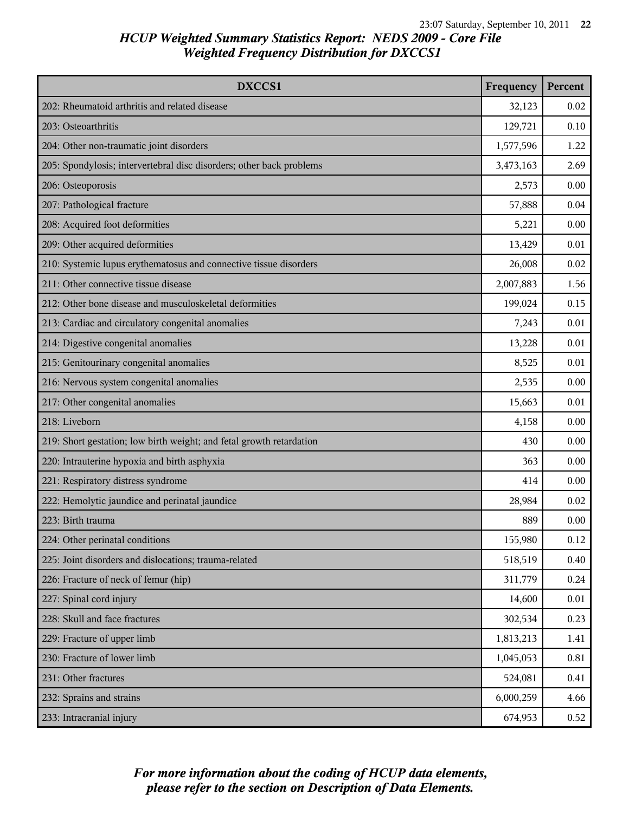| DXCCS1                                                               | Frequency | Percent |
|----------------------------------------------------------------------|-----------|---------|
| 202: Rheumatoid arthritis and related disease                        | 32,123    | 0.02    |
| 203: Osteoarthritis                                                  | 129,721   | 0.10    |
| 204: Other non-traumatic joint disorders                             | 1,577,596 | 1.22    |
| 205: Spondylosis; intervertebral disc disorders; other back problems | 3,473,163 | 2.69    |
| 206: Osteoporosis                                                    | 2,573     | 0.00    |
| 207: Pathological fracture                                           | 57,888    | 0.04    |
| 208: Acquired foot deformities                                       | 5,221     | 0.00    |
| 209: Other acquired deformities                                      | 13,429    | 0.01    |
| 210: Systemic lupus erythematosus and connective tissue disorders    | 26,008    | 0.02    |
| 211: Other connective tissue disease                                 | 2,007,883 | 1.56    |
| 212: Other bone disease and musculoskeletal deformities              | 199,024   | 0.15    |
| 213: Cardiac and circulatory congenital anomalies                    | 7,243     | 0.01    |
| 214: Digestive congenital anomalies                                  | 13,228    | 0.01    |
| 215: Genitourinary congenital anomalies                              | 8,525     | 0.01    |
| 216: Nervous system congenital anomalies                             | 2,535     | 0.00    |
| 217: Other congenital anomalies                                      | 15,663    | 0.01    |
| 218: Liveborn                                                        | 4,158     | 0.00    |
| 219: Short gestation; low birth weight; and fetal growth retardation | 430       | 0.00    |
| 220: Intrauterine hypoxia and birth asphyxia                         | 363       | 0.00    |
| 221: Respiratory distress syndrome                                   | 414       | 0.00    |
| 222: Hemolytic jaundice and perinatal jaundice                       | 28,984    | 0.02    |
| 223: Birth trauma                                                    | 889       | 0.00    |
| 224: Other perinatal conditions                                      | 155,980   | 0.12    |
| 225: Joint disorders and dislocations; trauma-related                | 518,519   | 0.40    |
| 226: Fracture of neck of femur (hip)                                 | 311,779   | 0.24    |
| 227: Spinal cord injury                                              | 14,600    | 0.01    |
| 228: Skull and face fractures                                        | 302,534   | 0.23    |
| 229: Fracture of upper limb                                          | 1,813,213 | 1.41    |
| 230: Fracture of lower limb                                          | 1,045,053 | 0.81    |
| 231: Other fractures                                                 | 524,081   | 0.41    |
| 232: Sprains and strains                                             | 6,000,259 | 4.66    |
| 233: Intracranial injury                                             | 674,953   | 0.52    |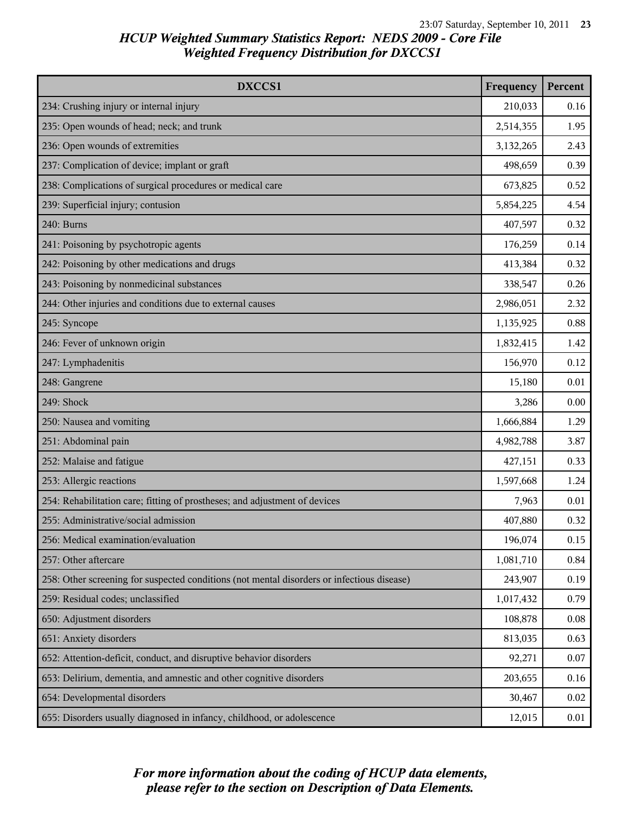| DXCCS1                                                                                     | Frequency | Percent |
|--------------------------------------------------------------------------------------------|-----------|---------|
| 234: Crushing injury or internal injury                                                    | 210,033   | 0.16    |
| 235: Open wounds of head; neck; and trunk                                                  | 2,514,355 | 1.95    |
| 236: Open wounds of extremities                                                            | 3,132,265 | 2.43    |
| 237: Complication of device; implant or graft                                              | 498,659   | 0.39    |
| 238: Complications of surgical procedures or medical care                                  | 673,825   | 0.52    |
| 239: Superficial injury; contusion                                                         | 5,854,225 | 4.54    |
| 240: Burns                                                                                 | 407,597   | 0.32    |
| 241: Poisoning by psychotropic agents                                                      | 176,259   | 0.14    |
| 242: Poisoning by other medications and drugs                                              | 413,384   | 0.32    |
| 243: Poisoning by nonmedicinal substances                                                  | 338,547   | 0.26    |
| 244: Other injuries and conditions due to external causes                                  | 2,986,051 | 2.32    |
| 245: Syncope                                                                               | 1,135,925 | 0.88    |
| 246: Fever of unknown origin                                                               | 1,832,415 | 1.42    |
| 247: Lymphadenitis                                                                         | 156,970   | 0.12    |
| 248: Gangrene                                                                              | 15,180    | 0.01    |
| 249: Shock                                                                                 | 3,286     | 0.00    |
| 250: Nausea and vomiting                                                                   | 1,666,884 | 1.29    |
| 251: Abdominal pain                                                                        | 4,982,788 | 3.87    |
| 252: Malaise and fatigue                                                                   | 427,151   | 0.33    |
| 253: Allergic reactions                                                                    | 1,597,668 | 1.24    |
| 254: Rehabilitation care; fitting of prostheses; and adjustment of devices                 | 7,963     | 0.01    |
| 255: Administrative/social admission                                                       | 407,880   | 0.32    |
| 256: Medical examination/evaluation                                                        | 196,074   | 0.15    |
| 257: Other aftercare                                                                       | 1,081,710 | 0.84    |
| 258: Other screening for suspected conditions (not mental disorders or infectious disease) | 243,907   | 0.19    |
| 259: Residual codes; unclassified                                                          | 1,017,432 | 0.79    |
| 650: Adjustment disorders                                                                  | 108,878   | 0.08    |
| 651: Anxiety disorders                                                                     | 813,035   | 0.63    |
| 652: Attention-deficit, conduct, and disruptive behavior disorders                         | 92,271    | 0.07    |
| 653: Delirium, dementia, and amnestic and other cognitive disorders                        | 203,655   | 0.16    |
| 654: Developmental disorders                                                               | 30,467    | 0.02    |
| 655: Disorders usually diagnosed in infancy, childhood, or adolescence                     | 12,015    | 0.01    |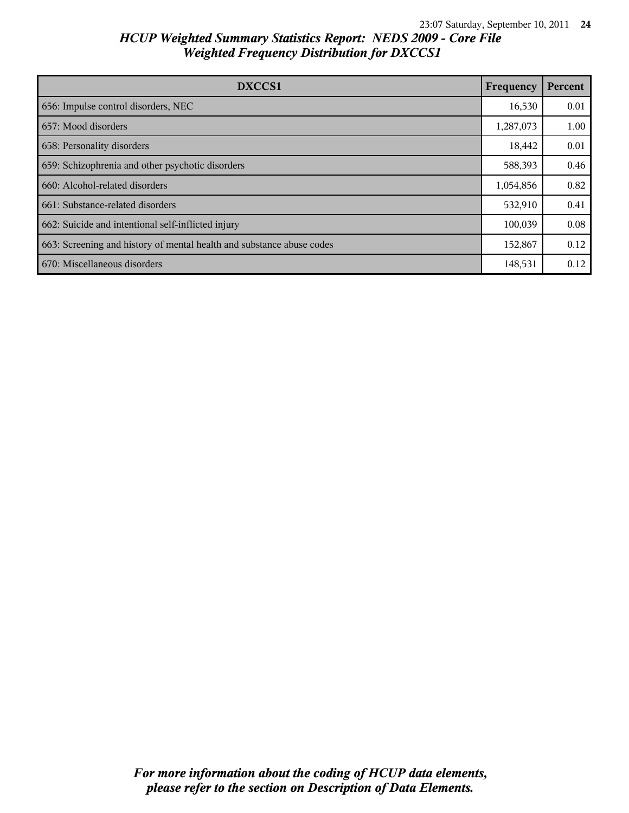| DXCCS1                                                                | Frequency | Percent |
|-----------------------------------------------------------------------|-----------|---------|
| 656: Impulse control disorders, NEC                                   | 16,530    | 0.01    |
| 657: Mood disorders                                                   | 1,287,073 | 1.00    |
| 658: Personality disorders                                            | 18,442    | 0.01    |
| 659: Schizophrenia and other psychotic disorders                      | 588,393   | 0.46    |
| 660: Alcohol-related disorders                                        | 1,054,856 | 0.82    |
| 661: Substance-related disorders                                      | 532,910   | 0.41    |
| 662: Suicide and intentional self-inflicted injury                    | 100,039   | 0.08    |
| 663: Screening and history of mental health and substance abuse codes | 152,867   | 0.12    |
| 670: Miscellaneous disorders                                          | 148,531   | 0.12    |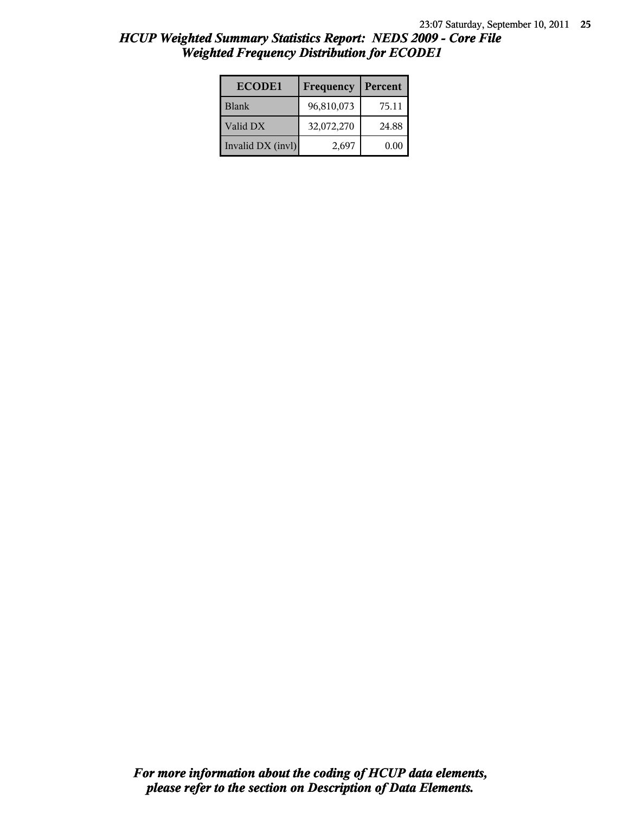| <b>ECODE1</b>     | Frequency  | Percent |
|-------------------|------------|---------|
| <b>Blank</b>      | 96,810,073 | 75.11   |
| Valid DX          | 32,072,270 | 24.88   |
| Invalid DX (invl) | 2,697      | 0.00    |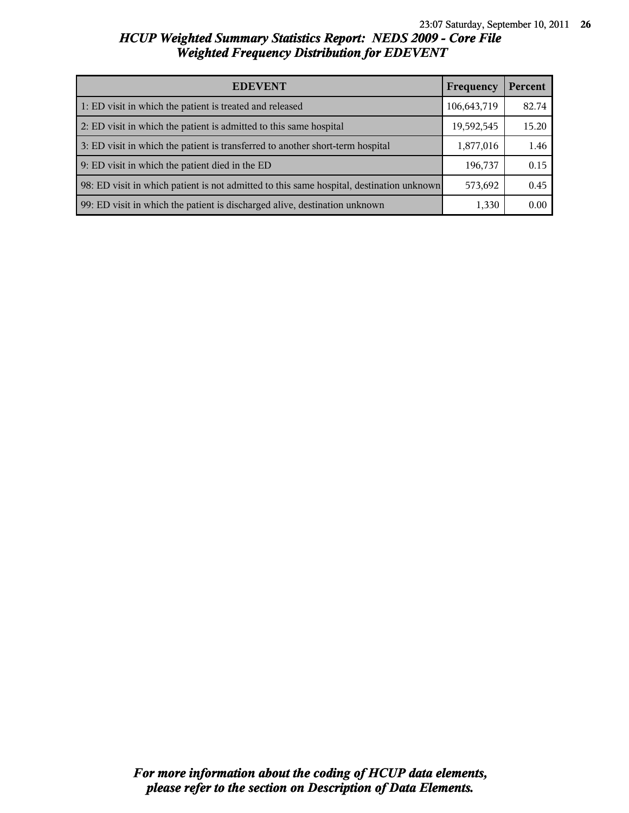| <b>EDEVENT</b><br>Frequency                                                              |             | Percent |
|------------------------------------------------------------------------------------------|-------------|---------|
| 1: ED visit in which the patient is treated and released                                 | 106,643,719 | 82.74   |
| 2: ED visit in which the patient is admitted to this same hospital                       | 19,592,545  | 15.20   |
| 3: ED visit in which the patient is transferred to another short-term hospital           | 1,877,016   | 1.46    |
| 9: ED visit in which the patient died in the ED                                          | 196,737     | 0.15    |
| 98: ED visit in which patient is not admitted to this same hospital, destination unknown | 573,692     | 0.45    |
| 99: ED visit in which the patient is discharged alive, destination unknown               | 1,330       | 0.00    |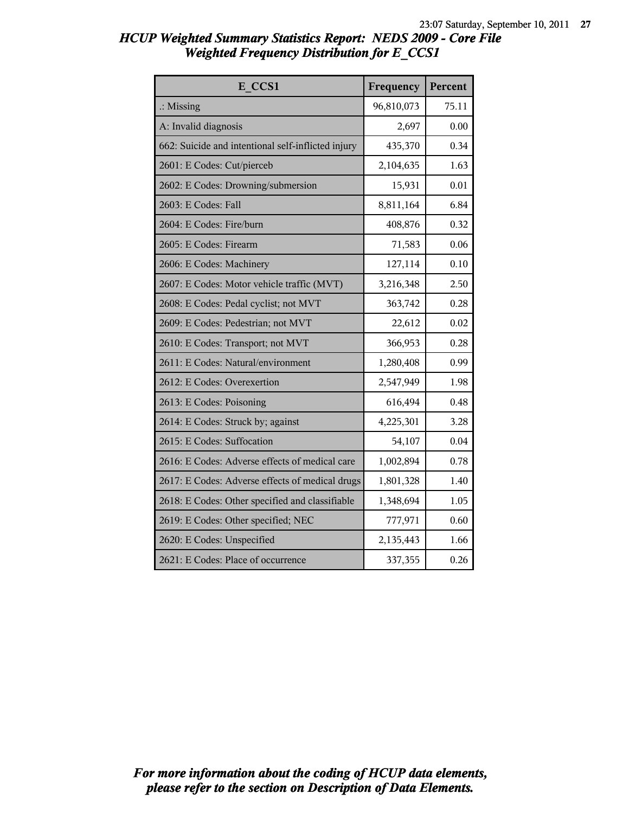| E CCS1                                             | Frequency  | Percent |
|----------------------------------------------------|------------|---------|
| $\therefore$ Missing                               | 96,810,073 | 75.11   |
| A: Invalid diagnosis                               | 2,697      | 0.00    |
| 662: Suicide and intentional self-inflicted injury | 435,370    | 0.34    |
| 2601: E Codes: Cut/pierceb                         | 2,104,635  | 1.63    |
| 2602: E Codes: Drowning/submersion                 | 15,931     | 0.01    |
| 2603: E Codes: Fall                                | 8,811,164  | 6.84    |
| 2604: E Codes: Fire/burn                           | 408,876    | 0.32    |
| 2605: E Codes: Firearm                             | 71,583     | 0.06    |
| 2606: E Codes: Machinery                           | 127,114    | 0.10    |
| 2607: E Codes: Motor vehicle traffic (MVT)         | 3,216,348  | 2.50    |
| 2608: E Codes: Pedal cyclist; not MVT              | 363,742    | 0.28    |
| 2609: E Codes: Pedestrian; not MVT                 | 22,612     | 0.02    |
| 2610: E Codes: Transport; not MVT                  | 366,953    | 0.28    |
| 2611: E Codes: Natural/environment                 | 1,280,408  | 0.99    |
| 2612: E Codes: Overexertion                        | 2,547,949  | 1.98    |
| 2613: E Codes: Poisoning                           | 616,494    | 0.48    |
| 2614: E Codes: Struck by; against                  | 4,225,301  | 3.28    |
| 2615: E Codes: Suffocation                         | 54,107     | 0.04    |
| 2616: E Codes: Adverse effects of medical care     | 1,002,894  | 0.78    |
| 2617: E Codes: Adverse effects of medical drugs    | 1,801,328  | 1.40    |
| 2618: E Codes: Other specified and classifiable    | 1,348,694  | 1.05    |
| 2619: E Codes: Other specified; NEC                | 777,971    | 0.60    |
| 2620: E Codes: Unspecified                         | 2,135,443  | 1.66    |
| 2621: E Codes: Place of occurrence                 | 337,355    | 0.26    |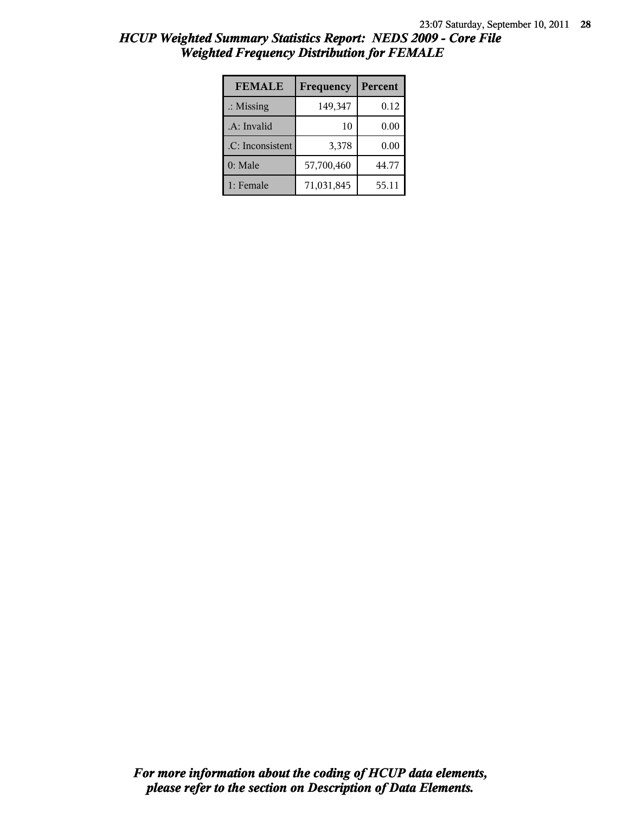| <b>FEMALE</b>        | Frequency  | Percent |
|----------------------|------------|---------|
| $\therefore$ Missing | 149,347    | 0.12    |
| .A: Invalid          | 10         | 0.00    |
| .C: Inconsistent     | 3,378      | 0.00    |
| $0:$ Male            | 57,700,460 | 44.77   |
| 1: Female            | 71,031,845 | 55.11   |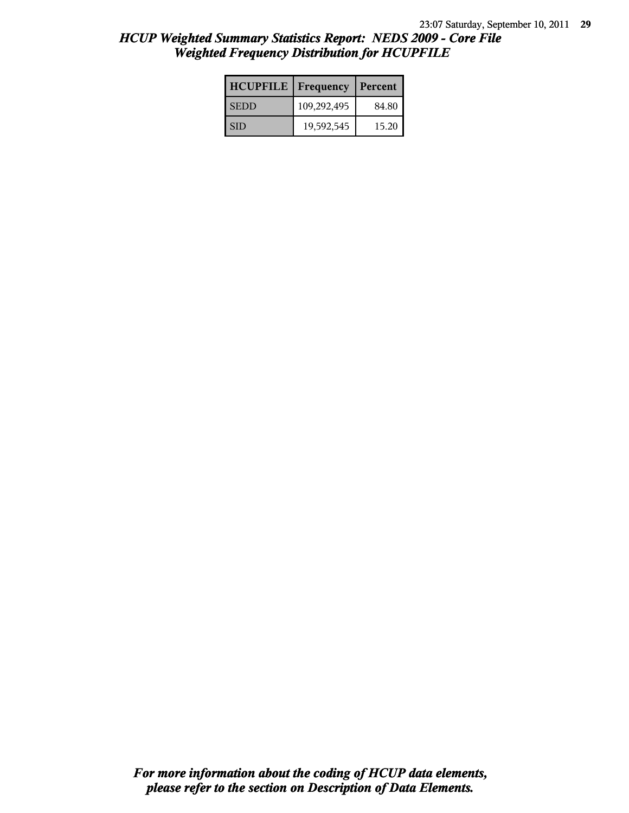| <b>HCUPFILE</b> | <b>Frequency</b> | Percent |
|-----------------|------------------|---------|
| <b>SEDD</b>     | 109,292,495      | 84.80   |
| l SID           | 19,592,545       | 15.20   |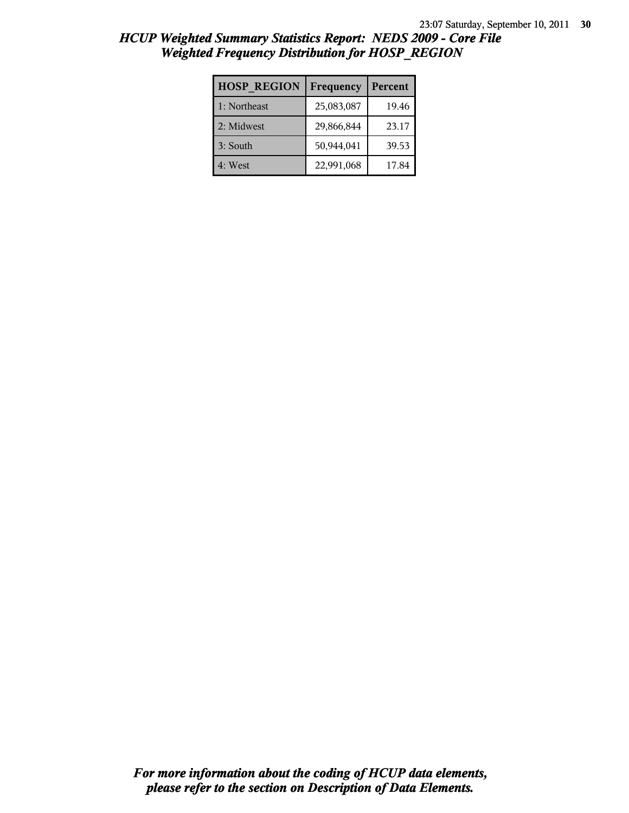| <b>HOSP REGION</b> | Frequency  | Percent |
|--------------------|------------|---------|
| 1: Northeast       | 25,083,087 | 19.46   |
| 2: Midwest         | 29,866,844 | 23.17   |
| 3: South           | 50,944,041 | 39.53   |
| 4: West            | 22,991,068 | 17.84   |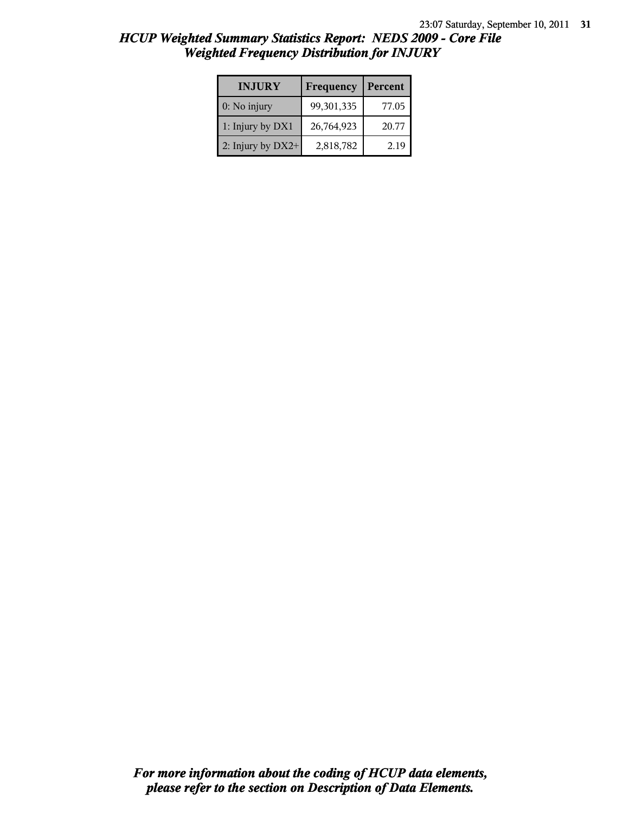| HCUP Weighted Summary Statistics Report: NEDS 2009 - Core File |  |
|----------------------------------------------------------------|--|
| <b>Weighted Frequency Distribution for INJURY</b>              |  |

| <b>INJURY</b>       | Frequency  | Percent |
|---------------------|------------|---------|
| $0:$ No injury      | 99,301,335 | 77.05   |
| 1: Injury by DX1    | 26,764,923 | 20.77   |
| 2: Injury by $DX2+$ | 2,818,782  | 2.19    |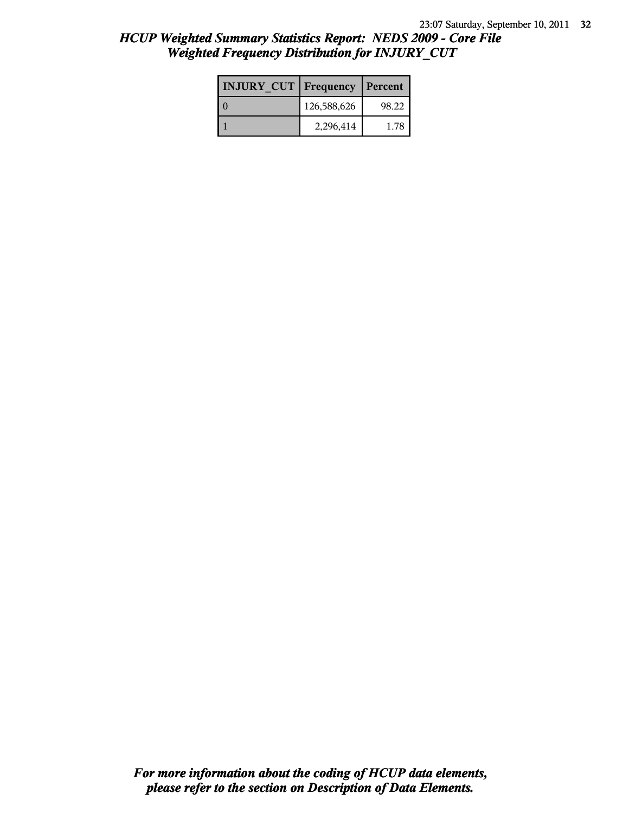| <b>INJURY CUT   Frequency</b> |             | Percent |
|-------------------------------|-------------|---------|
|                               | 126,588,626 | 98.22   |
|                               | 2,296,414   | 1 78    |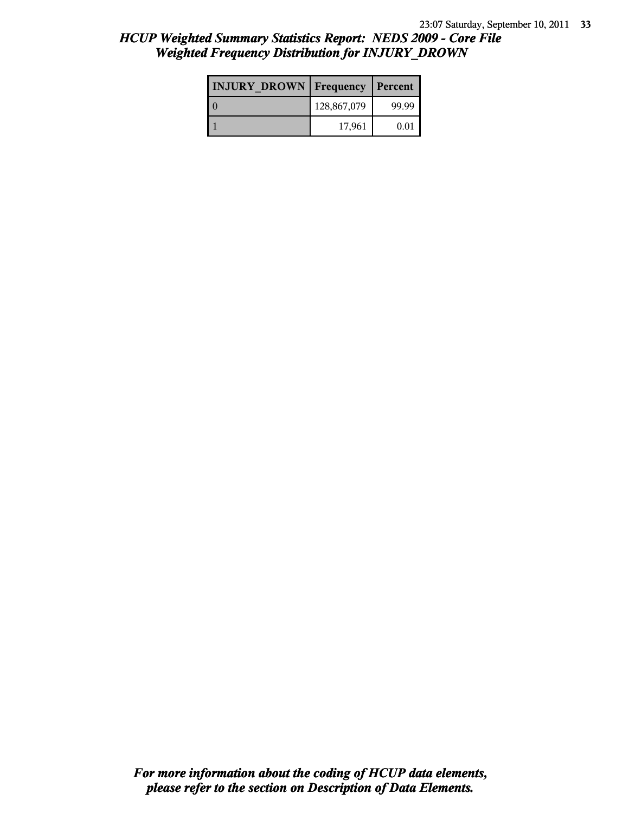| <b>INJURY DROWN</b> Frequency |             | Percent |
|-------------------------------|-------------|---------|
|                               | 128,867,079 | 99.99   |
|                               | 17,961      | 0.01    |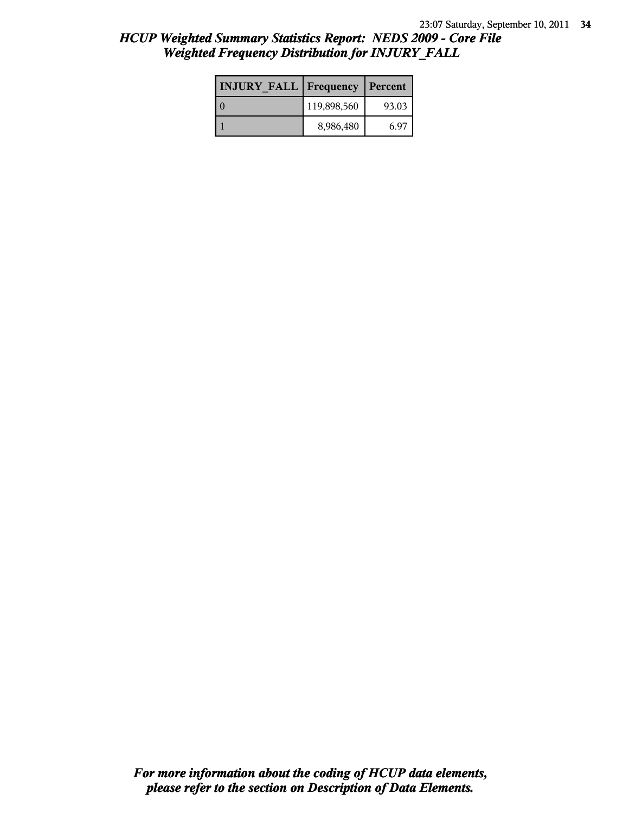| <b>INJURY FALL Frequency</b> |             | Percent |
|------------------------------|-------------|---------|
| ∩                            | 119,898,560 | 93.03   |
|                              | 8,986,480   | 6.97    |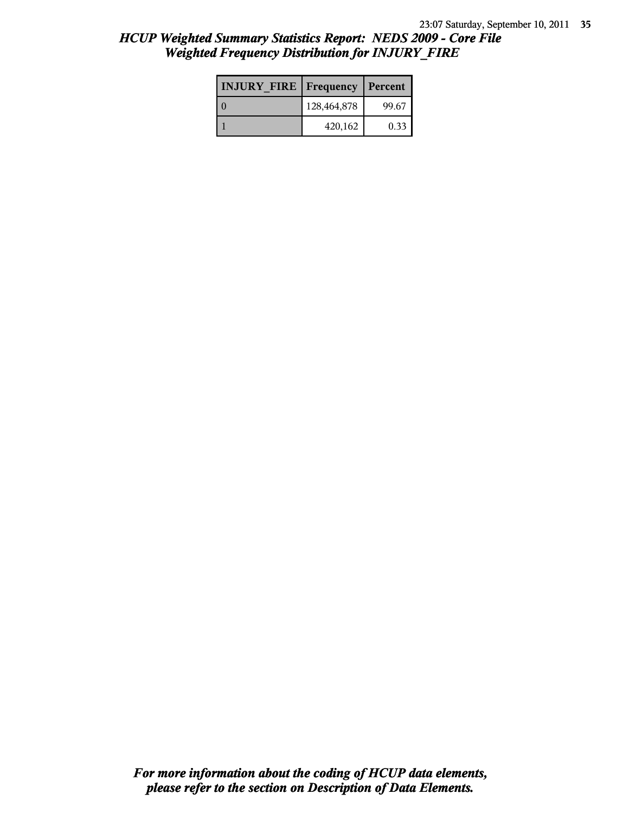| <b>INJURY FIRE   Frequency</b> |             | Percent |
|--------------------------------|-------------|---------|
|                                | 128,464,878 | 99.67   |
|                                | 420,162     | 0.33    |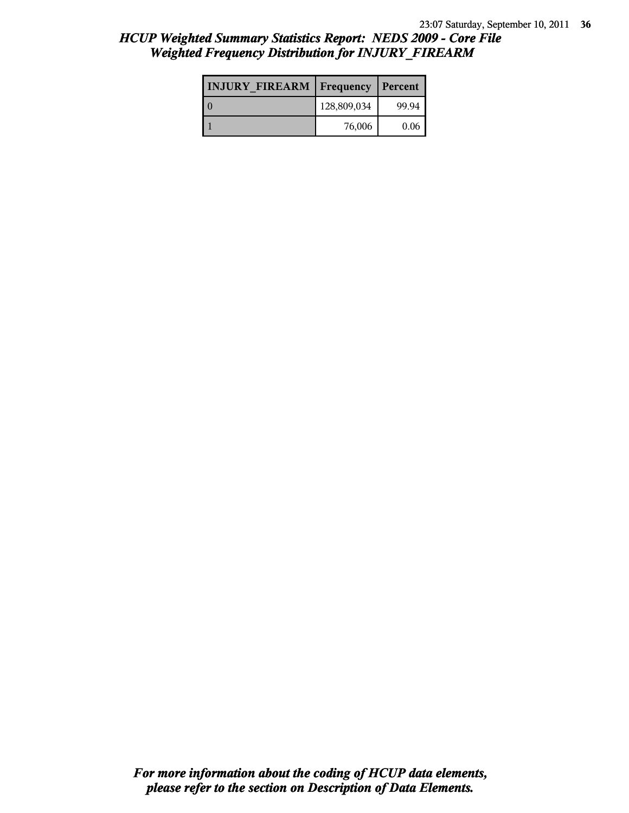| <b>INJURY FIREARM   Frequency</b> |             | Percent |
|-----------------------------------|-------------|---------|
|                                   | 128,809,034 | 99.94   |
|                                   | 76,006      | 0.06    |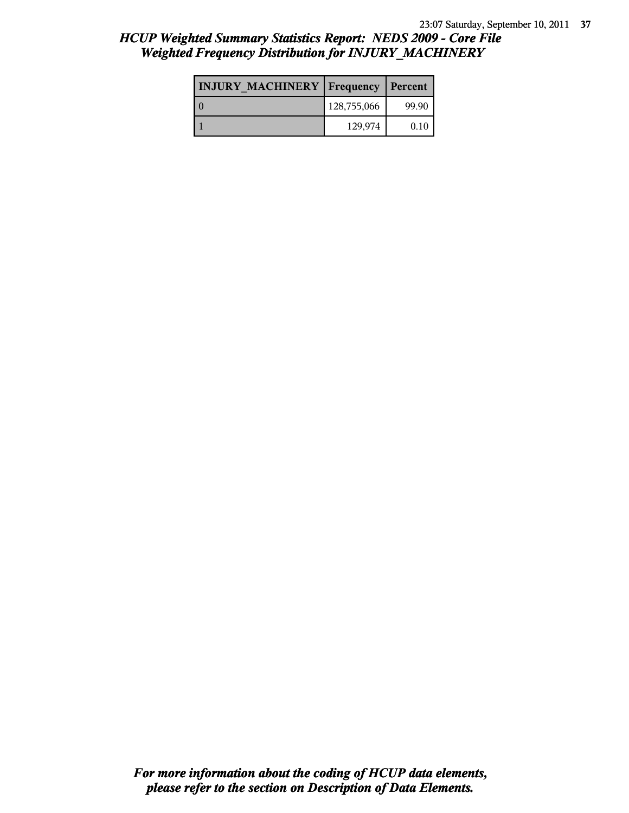| <b>INJURY MACHINERY   Frequency</b> |             | Percent |
|-------------------------------------|-------------|---------|
|                                     | 128,755,066 | 99.90   |
|                                     | 129,974     | 0.10    |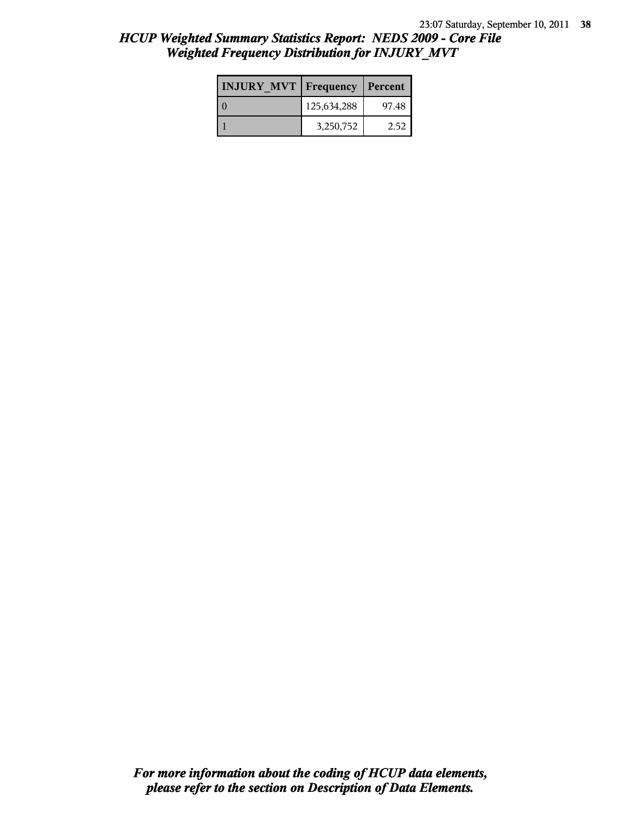| <b>INJURY MVT Frequency</b> |             | Percent |
|-----------------------------|-------------|---------|
|                             | 125,634,288 | 97.48   |
|                             | 3,250,752   | 2.52    |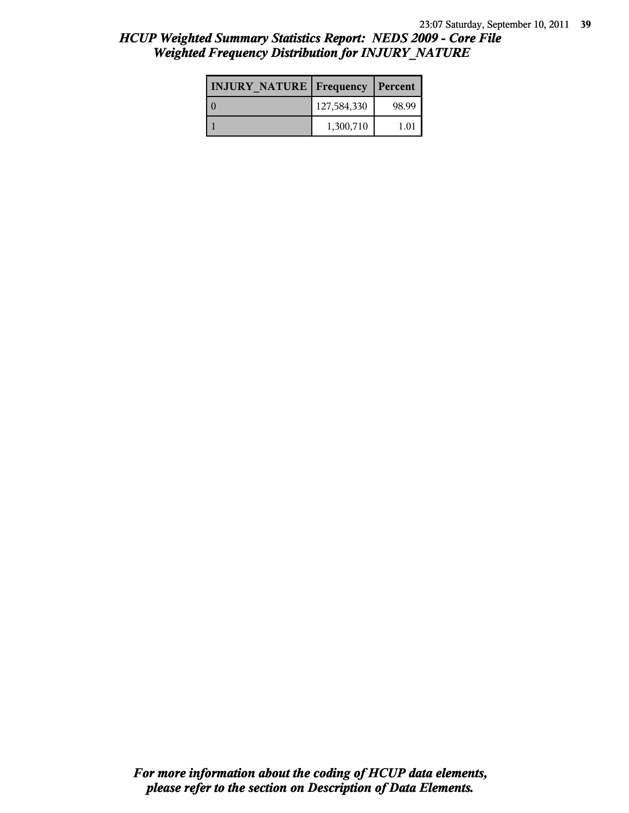| <b>INJURY NATURE Frequency</b> |             | Percent |
|--------------------------------|-------------|---------|
|                                | 127,584,330 | 98.99   |
|                                | 1,300,710   | 1.01    |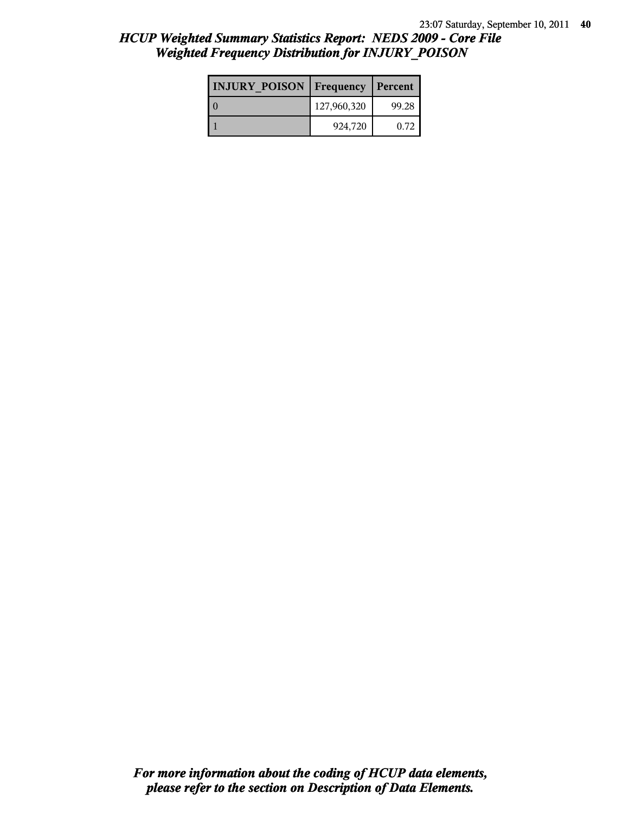| <b>INJURY POISON Frequency</b> |             | Percent |
|--------------------------------|-------------|---------|
|                                | 127,960,320 | 99.28   |
|                                | 924,720     | 0.72    |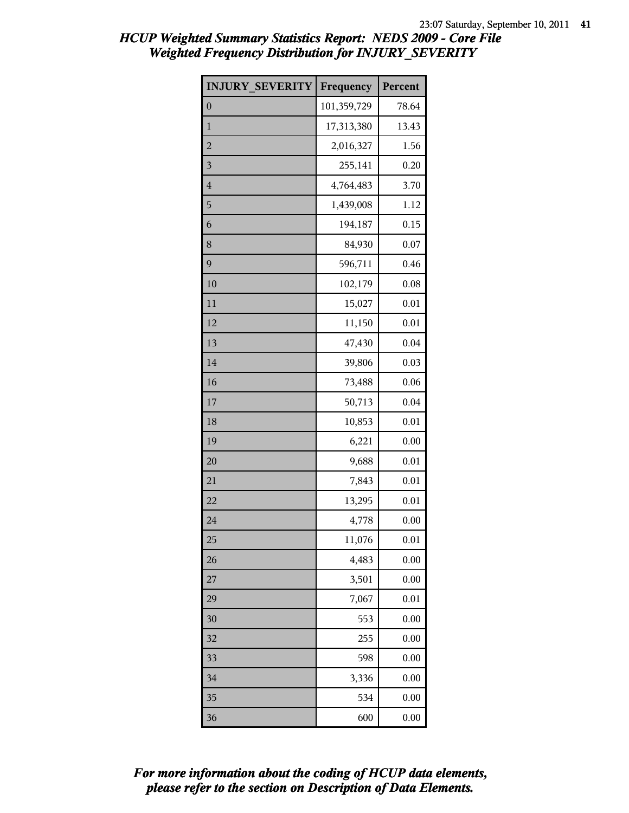| <b>INJURY SEVERITY</b> | Frequency   | Percent |
|------------------------|-------------|---------|
| $\boldsymbol{0}$       | 101,359,729 | 78.64   |
| $\mathbf{1}$           | 17,313,380  | 13.43   |
| $\overline{a}$         | 2,016,327   | 1.56    |
| 3                      | 255,141     | 0.20    |
| $\overline{4}$         | 4,764,483   | 3.70    |
| 5                      | 1,439,008   | 1.12    |
| 6                      | 194,187     | 0.15    |
| 8                      | 84,930      | 0.07    |
| 9                      | 596,711     | 0.46    |
| 10                     | 102,179     | 0.08    |
| 11                     | 15,027      | 0.01    |
| 12                     | 11,150      | 0.01    |
| 13                     | 47,430      | 0.04    |
| 14                     | 39,806      | 0.03    |
| 16                     | 73,488      | 0.06    |
| 17                     | 50,713      | 0.04    |
| 18                     | 10,853      | 0.01    |
| 19                     | 6,221       | 0.00    |
| 20                     | 9,688       | 0.01    |
| 21                     | 7,843       | 0.01    |
| 22                     | 13,295      | 0.01    |
| 24                     | 4,778       | 0.00    |
| 25                     | 11,076      | 0.01    |
| 26                     | 4,483       | 0.00    |
| 27                     | 3,501       | 0.00    |
| 29                     | 7,067       | 0.01    |
| 30                     | 553         | 0.00    |
| 32                     | 255         | 0.00    |
| 33                     | 598         | 0.00    |
| 34                     | 3,336       | 0.00    |
| 35                     | 534         | 0.00    |
| 36                     | 600         | 0.00    |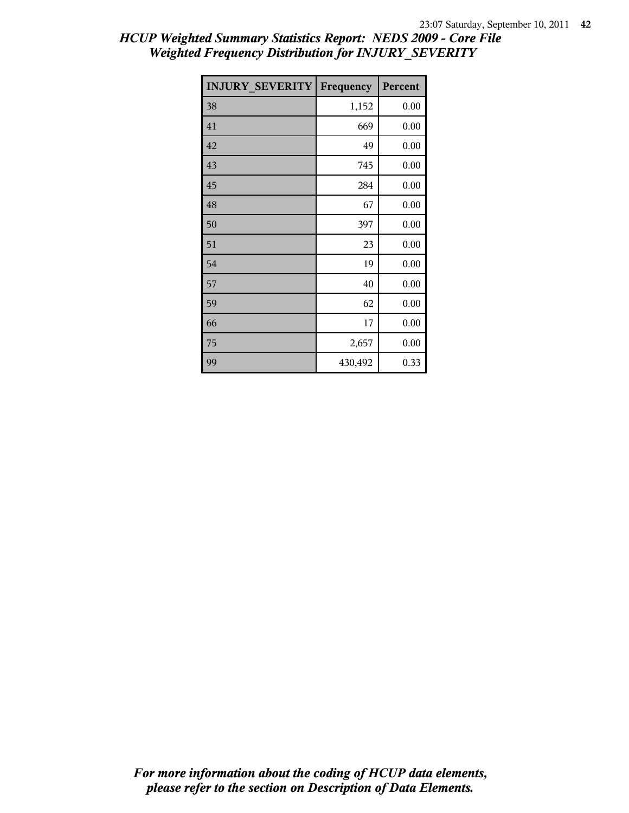| <b>INJURY SEVERITY</b> | Frequency | Percent |
|------------------------|-----------|---------|
| 38                     | 1,152     | 0.00    |
| 41                     | 669       | 0.00    |
| 42                     | 49        | 0.00    |
| 43                     | 745       | 0.00    |
| 45                     | 284       | 0.00    |
| 48                     | 67        | 0.00    |
| 50                     | 397       | 0.00    |
| 51                     | 23        | 0.00    |
| 54                     | 19        | 0.00    |
| 57                     | 40        | 0.00    |
| 59                     | 62        | 0.00    |
| 66                     | 17        | 0.00    |
| 75                     | 2,657     | 0.00    |
| 99                     | 430,492   | 0.33    |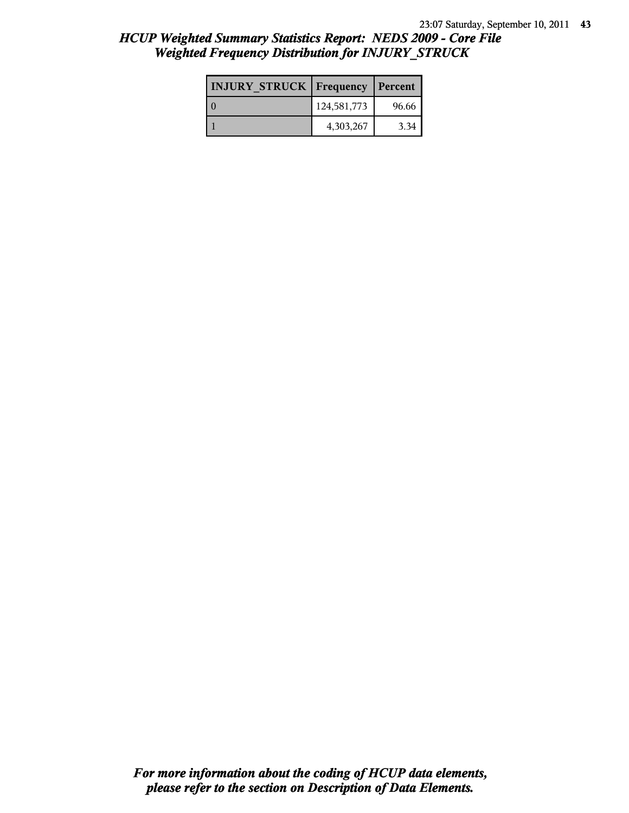| <b>INJURY STRUCK Frequency</b> |             | Percent |
|--------------------------------|-------------|---------|
|                                | 124,581,773 | 96.66   |
|                                | 4,303,267   | 3.34    |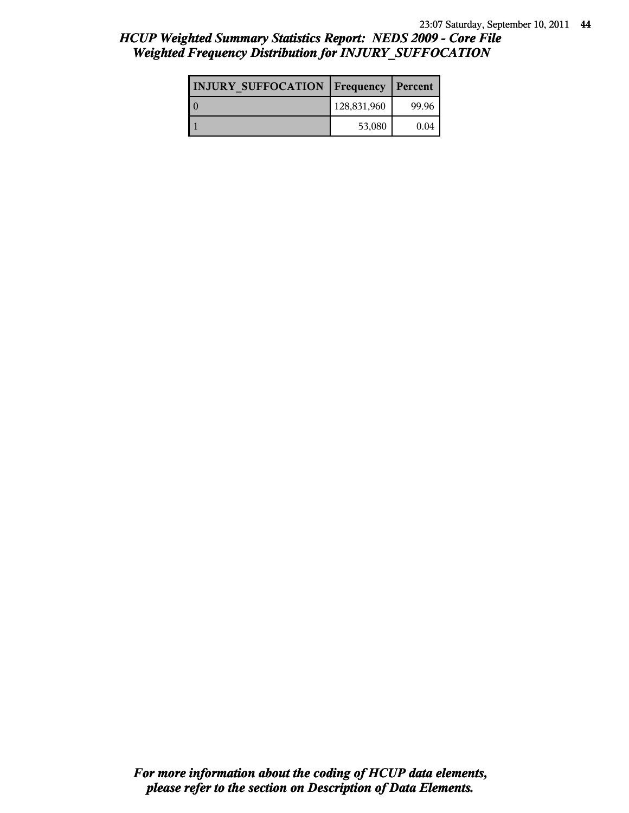| <b>INJURY SUFFOCATION   Frequency</b> |             | Percent |
|---------------------------------------|-------------|---------|
|                                       | 128,831,960 | 99.96   |
|                                       | 53,080      | 0.04    |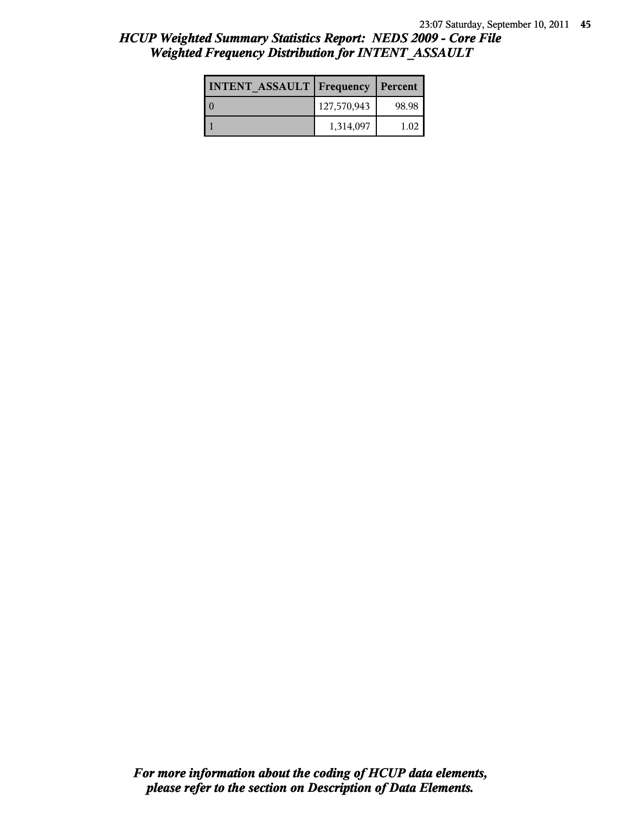| <b>INTENT ASSAULT Frequency</b> |             | Percent |
|---------------------------------|-------------|---------|
| l 0                             | 127,570,943 | 98.98   |
|                                 | 1,314,097   | 1.02    |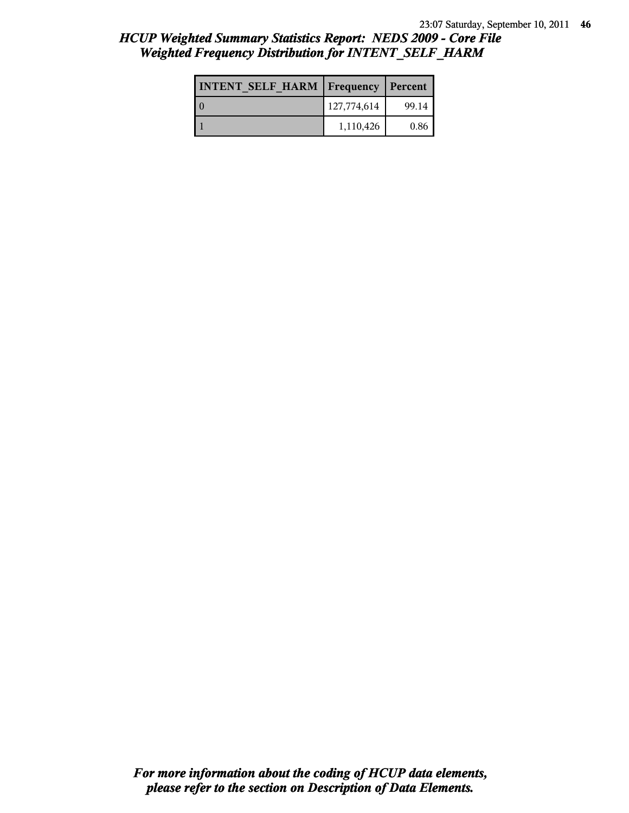| <b>INTENT SELF HARM   Frequency</b> |             | Percent |
|-------------------------------------|-------------|---------|
|                                     | 127,774,614 | 99.14   |
|                                     | 1,110,426   | 0.86    |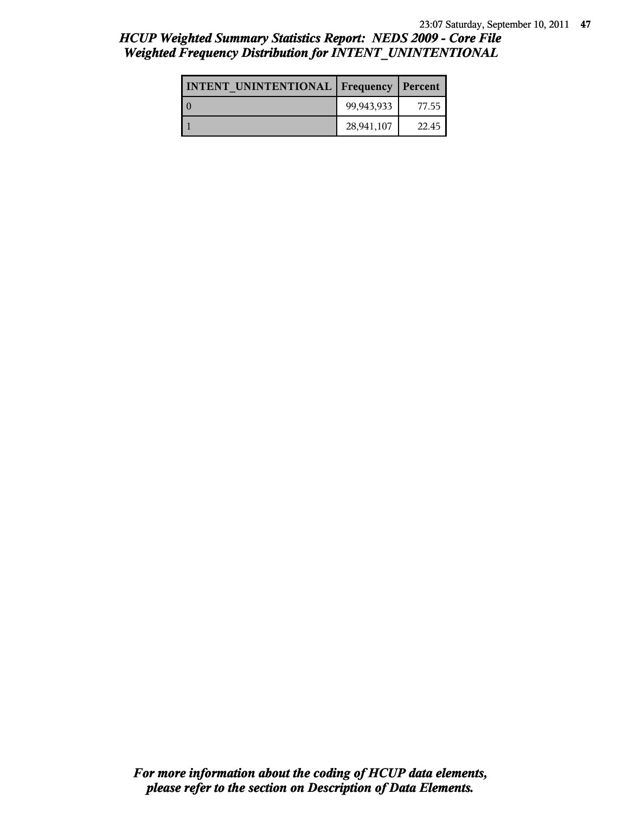| <b>INTENT UNINTENTIONAL   Frequency   Percent</b> |            |       |
|---------------------------------------------------|------------|-------|
|                                                   | 99,943,933 | 77.55 |
|                                                   | 28,941,107 | 22.45 |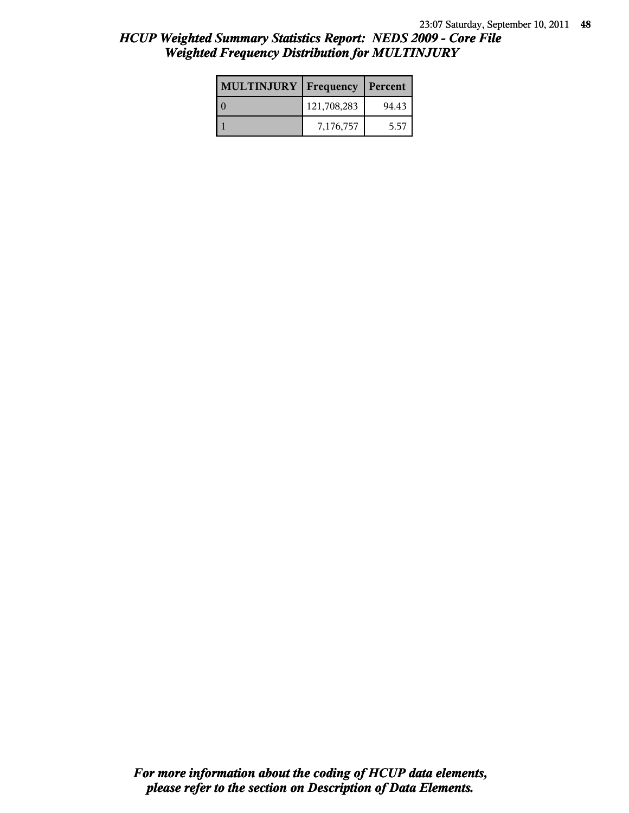| <b>MULTINJURY</b> | Frequency   | Percent |
|-------------------|-------------|---------|
|                   | 121,708,283 | 94.43   |
|                   | 7,176,757   | 5.57    |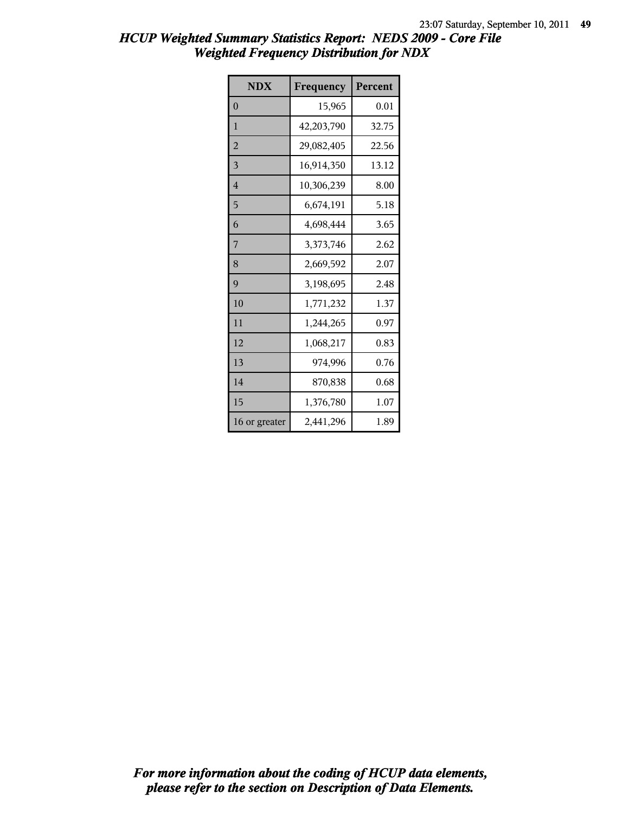| <b>NDX</b>     | Frequency  | Percent |
|----------------|------------|---------|
| $\theta$       | 15,965     | 0.01    |
| $\mathbf{1}$   | 42,203,790 | 32.75   |
| $\overline{2}$ | 29,082,405 | 22.56   |
| 3              | 16,914,350 | 13.12   |
| $\overline{4}$ | 10,306,239 | 8.00    |
| 5              | 6,674,191  | 5.18    |
| 6              | 4,698,444  | 3.65    |
| 7              | 3,373,746  | 2.62    |
| 8              | 2,669,592  | 2.07    |
| 9              | 3,198,695  | 2.48    |
| 10             | 1,771,232  | 1.37    |
| 11             | 1,244,265  | 0.97    |
| 12             | 1,068,217  | 0.83    |
| 13             | 974,996    | 0.76    |
| 14             | 870,838    | 0.68    |
| 15             | 1,376,780  | 1.07    |
| 16 or greater  | 2,441,296  | 1.89    |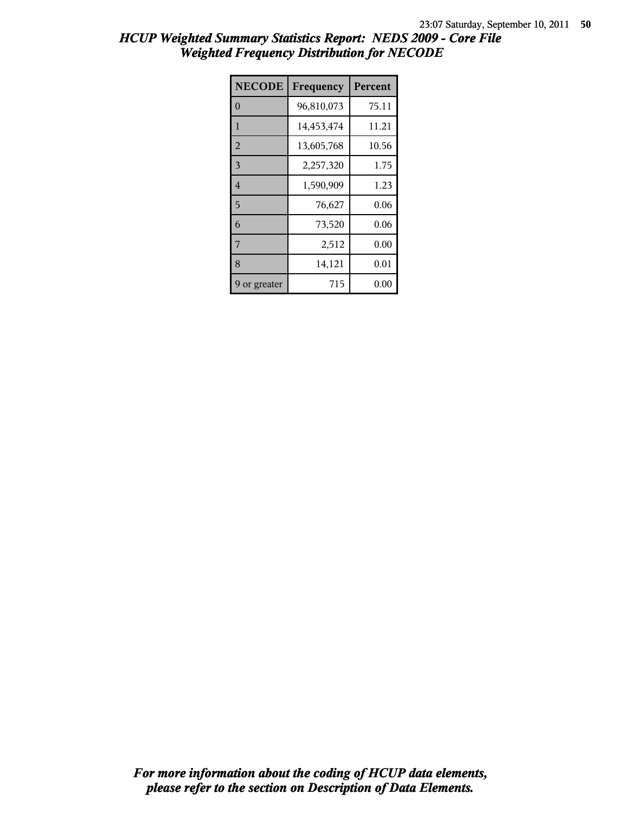| <b>NECODE</b>  | Frequency  | Percent |
|----------------|------------|---------|
| $\theta$       | 96,810,073 | 75.11   |
| 1              | 14,453,474 | 11.21   |
| $\overline{2}$ | 13,605,768 | 10.56   |
| 3              | 2,257,320  | 1.75    |
| $\overline{4}$ | 1,590,909  | 1.23    |
| 5              | 76,627     | 0.06    |
| 6              | 73,520     | 0.06    |
| 7              | 2,512      | 0.00    |
| 8              | 14,121     | 0.01    |
| 9 or greater   | 715        | 0.00    |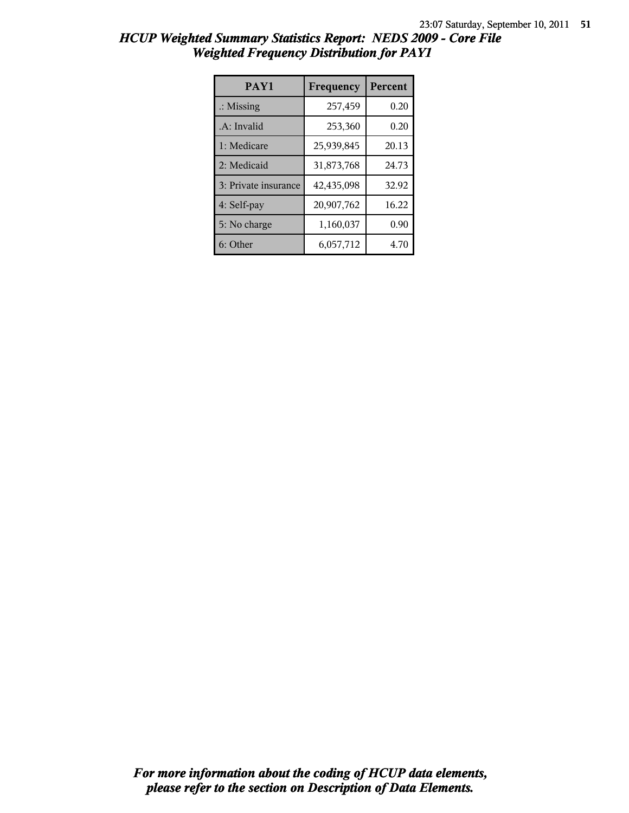| <b>HCUP Weighted Summary Statistics Report: NEDS 2009 - Core File</b> |  |  |
|-----------------------------------------------------------------------|--|--|
| <b>Weighted Frequency Distribution for PAY1</b>                       |  |  |

| PAY1                 | Frequency  | <b>Percent</b> |
|----------------------|------------|----------------|
| $\therefore$ Missing | 257,459    | 0.20           |
| .A: Invalid          | 253,360    | 0.20           |
| 1: Medicare          | 25,939,845 | 20.13          |
| 2: Medicaid          | 31,873,768 | 24.73          |
| 3: Private insurance | 42,435,098 | 32.92          |
| 4: Self-pay          | 20,907,762 | 16.22          |
| 5: No charge         | 1,160,037  | 0.90           |
| 6: Other             | 6,057,712  | 4.70           |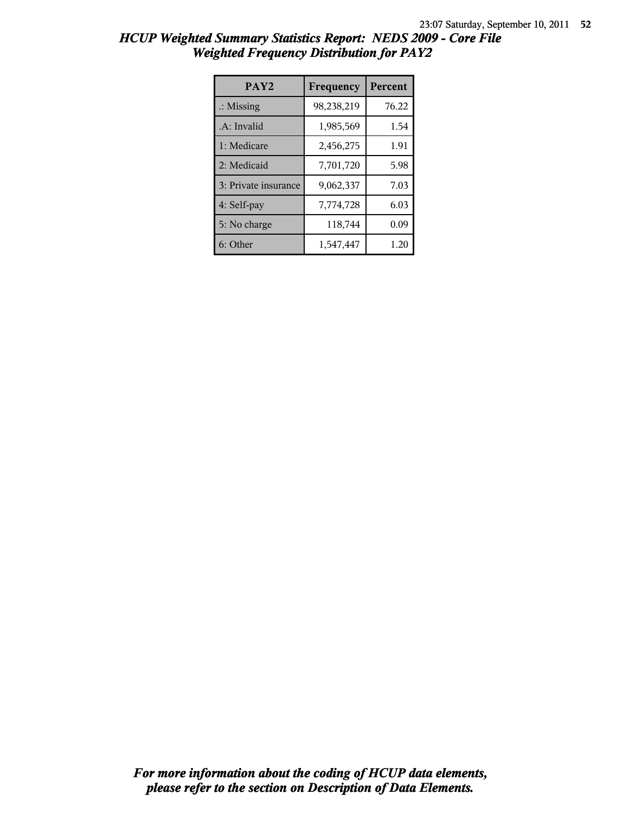| HCUP Weighted Summary Statistics Report: NEDS 2009 - Core File |  |
|----------------------------------------------------------------|--|
| <b>Weighted Frequency Distribution for PAY2</b>                |  |

| PAY <sub>2</sub>     | Frequency  | <b>Percent</b> |
|----------------------|------------|----------------|
| $\therefore$ Missing | 98,238,219 | 76.22          |
| .A: Invalid          | 1,985,569  | 1.54           |
| 1: Medicare          | 2,456,275  | 1.91           |
| 2: Medicaid          | 7,701,720  | 5.98           |
| 3: Private insurance | 9,062,337  | 7.03           |
| 4: Self-pay          | 7,774,728  | 6.03           |
| 5: No charge         | 118,744    | 0.09           |
| 6: Other             | 1,547,447  | 1.20           |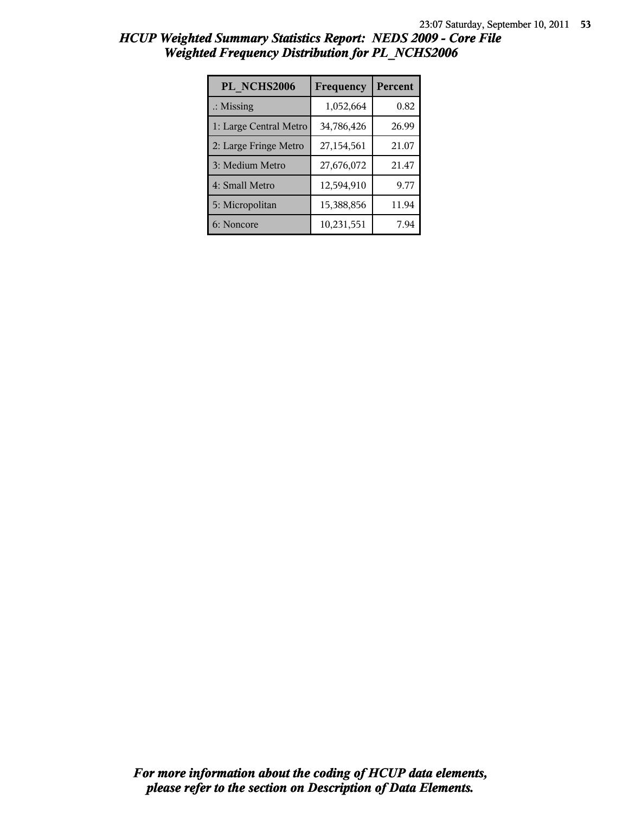| PL NCHS2006            | Frequency  | Percent |
|------------------------|------------|---------|
| $\therefore$ Missing   | 1,052,664  | 0.82    |
| 1: Large Central Metro | 34,786,426 | 26.99   |
| 2: Large Fringe Metro  | 27,154,561 | 21.07   |
| 3: Medium Metro        | 27,676,072 | 21.47   |
| 4: Small Metro         | 12,594,910 | 9.77    |
| 5: Micropolitan        | 15,388,856 | 11.94   |
| 6: Noncore             | 10,231,551 | 7.94    |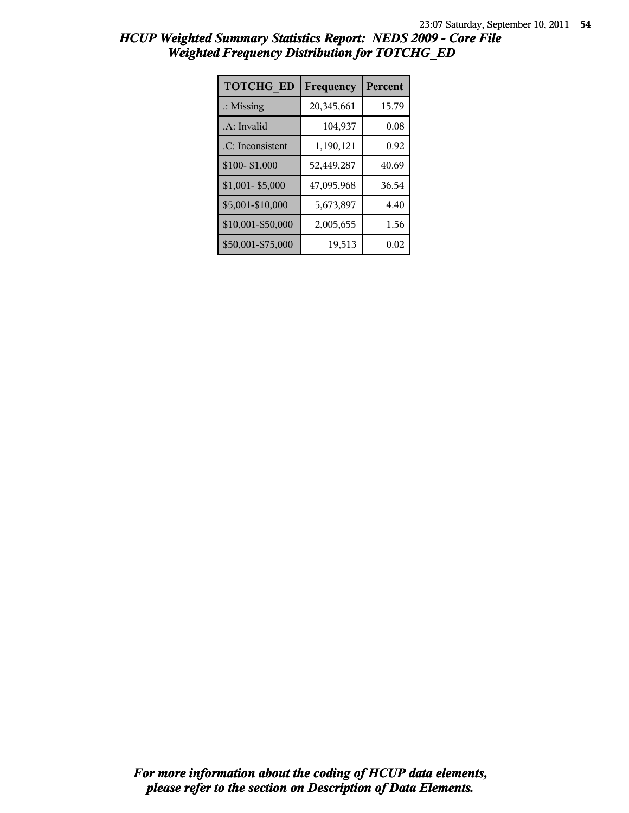| <b>TOTCHG ED</b>     | Frequency  | Percent |
|----------------------|------------|---------|
| $\therefore$ Missing | 20,345,661 | 15.79   |
| .A: Invalid          | 104,937    | 0.08    |
| .C: Inconsistent     | 1,190,121  | 0.92    |
| \$100-\$1,000        | 52,449,287 | 40.69   |
| \$1,001-\$5,000      | 47,095,968 | 36.54   |
| \$5,001-\$10,000     | 5,673,897  | 4.40    |
| \$10,001-\$50,000    | 2,005,655  | 1.56    |
| \$50,001-\$75,000    | 19,513     | 0.02    |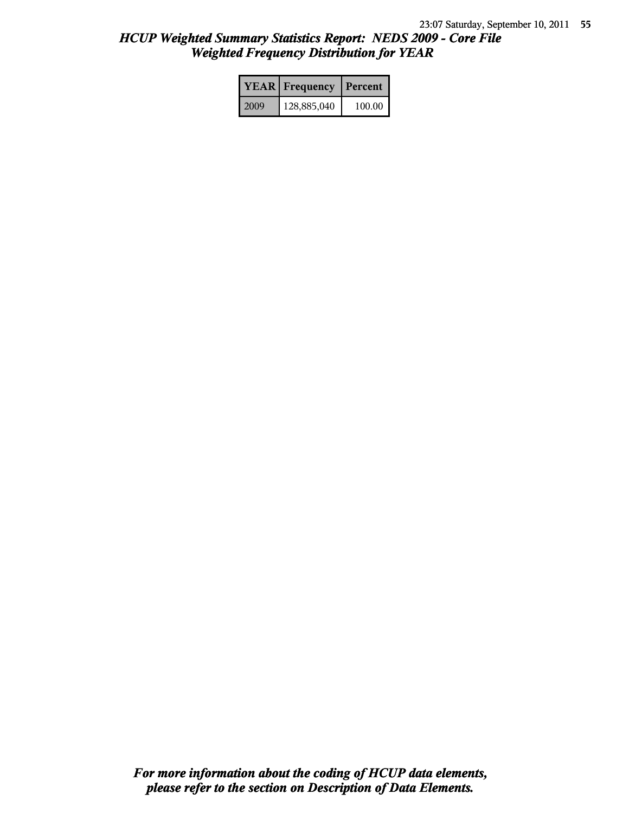|      | <b>YEAR</b> Frequency | Percent |
|------|-----------------------|---------|
| 2009 | 128,885,040           | 100.00  |